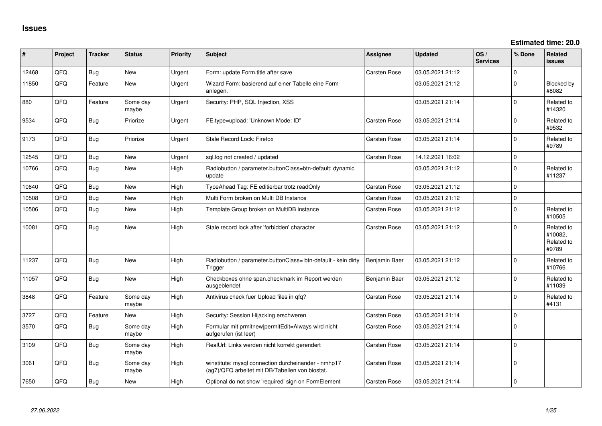**Estimated time: 20.0**

| ∦     | Project | <b>Tracker</b> | <b>Status</b>     | <b>Priority</b> | <b>Subject</b>                                                                                         | <b>Assignee</b>     | <b>Updated</b>   | OS/<br><b>Services</b> | % Done      | Related<br>issues                            |
|-------|---------|----------------|-------------------|-----------------|--------------------------------------------------------------------------------------------------------|---------------------|------------------|------------------------|-------------|----------------------------------------------|
| 12468 | QFQ     | Bug            | <b>New</b>        | Urgent          | Form: update Form.title after save                                                                     | Carsten Rose        | 03.05.2021 21:12 |                        | $\Omega$    |                                              |
| 11850 | QFQ     | Feature        | <b>New</b>        | Urgent          | Wizard Form: basierend auf einer Tabelle eine Form<br>anlegen.                                         |                     | 03.05.2021 21:12 |                        | $\Omega$    | <b>Blocked by</b><br>#8082                   |
| 880   | QFQ     | Feature        | Some day<br>maybe | Urgent          | Security: PHP, SQL Injection, XSS                                                                      |                     | 03.05.2021 21:14 |                        | $\Omega$    | Related to<br>#14320                         |
| 9534  | QFQ     | <b>Bug</b>     | Priorize          | Urgent          | FE.type=upload: 'Unknown Mode: ID"                                                                     | Carsten Rose        | 03.05.2021 21:14 |                        | $\Omega$    | Related to<br>#9532                          |
| 9173  | QFQ     | Bug            | Priorize          | Urgent          | Stale Record Lock: Firefox                                                                             | Carsten Rose        | 03.05.2021 21:14 |                        | $\Omega$    | Related to<br>#9789                          |
| 12545 | QFQ     | Bug            | <b>New</b>        | Urgent          | sql.log not created / updated                                                                          | <b>Carsten Rose</b> | 14.12.2021 16:02 |                        | $\mathbf 0$ |                                              |
| 10766 | QFQ     | <b>Bug</b>     | New               | High            | Radiobutton / parameter.buttonClass=btn-default: dynamic<br>update                                     |                     | 03.05.2021 21:12 |                        | $\Omega$    | Related to<br>#11237                         |
| 10640 | QFQ     | Bug            | <b>New</b>        | High            | TypeAhead Tag: FE editierbar trotz readOnly                                                            | <b>Carsten Rose</b> | 03.05.2021 21:12 |                        | $\Omega$    |                                              |
| 10508 | QFQ     | <b>Bug</b>     | New               | High            | Multi Form broken on Multi DB Instance                                                                 | Carsten Rose        | 03.05.2021 21:12 |                        | $\Omega$    |                                              |
| 10506 | QFQ     | Bug            | New               | High            | Template Group broken on MultiDB instance                                                              | Carsten Rose        | 03.05.2021 21:12 |                        | $\Omega$    | Related to<br>#10505                         |
| 10081 | QFQ     | Bug            | New               | High            | Stale record lock after 'forbidden' character                                                          | Carsten Rose        | 03.05.2021 21:12 |                        | $\Omega$    | Related to<br>#10082,<br>Related to<br>#9789 |
| 11237 | QFQ     | <b>Bug</b>     | New               | High            | Radiobutton / parameter.buttonClass= btn-default - kein dirty<br>Trigger                               | Benjamin Baer       | 03.05.2021 21:12 |                        | $\Omega$    | Related to<br>#10766                         |
| 11057 | QFQ     | <b>Bug</b>     | <b>New</b>        | High            | Checkboxes ohne span.checkmark im Report werden<br>ausgeblendet                                        | Benjamin Baer       | 03.05.2021 21:12 |                        | $\Omega$    | Related to<br>#11039                         |
| 3848  | QFQ     | Feature        | Some day<br>maybe | High            | Antivirus check fuer Upload files in qfq?                                                              | Carsten Rose        | 03.05.2021 21:14 |                        | $\Omega$    | Related to<br>#4131                          |
| 3727  | QFQ     | Feature        | New               | High            | Security: Session Hijacking erschweren                                                                 | Carsten Rose        | 03.05.2021 21:14 |                        | $\mathbf 0$ |                                              |
| 3570  | QFQ     | Bug            | Some day<br>maybe | High            | Formular mit prmitnew permitEdit=Always wird nicht<br>aufgerufen (ist leer)                            | Carsten Rose        | 03.05.2021 21:14 |                        | 0           |                                              |
| 3109  | QFQ     | Bug            | Some day<br>maybe | High            | RealUrl: Links werden nicht korrekt gerendert                                                          | <b>Carsten Rose</b> | 03.05.2021 21:14 |                        | $\Omega$    |                                              |
| 3061  | QFQ     | <b>Bug</b>     | Some day<br>maybe | High            | winstitute: mysql connection durcheinander - nmhp17<br>(ag7)/QFQ arbeitet mit DB/Tabellen von biostat. | Carsten Rose        | 03.05.2021 21:14 |                        | $\Omega$    |                                              |
| 7650  | QFQ     | <b>Bug</b>     | <b>New</b>        | High            | Optional do not show 'required' sign on FormElement                                                    | Carsten Rose        | 03.05.2021 21:14 |                        | $\Omega$    |                                              |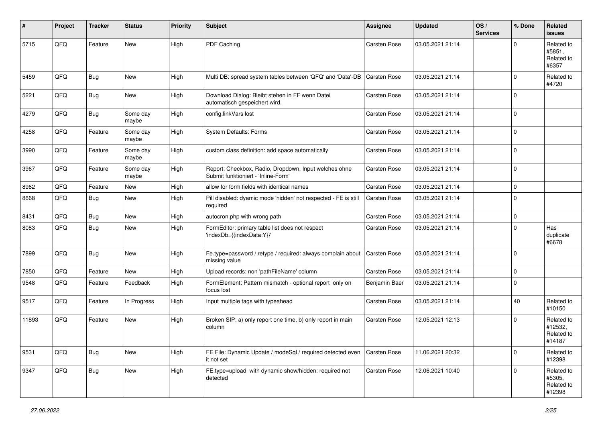| ∦     | Project | <b>Tracker</b> | <b>Status</b>     | <b>Priority</b> | <b>Subject</b>                                                                               | Assignee            | <b>Updated</b>   | OS/<br><b>Services</b> | % Done      | Related<br>issues                             |
|-------|---------|----------------|-------------------|-----------------|----------------------------------------------------------------------------------------------|---------------------|------------------|------------------------|-------------|-----------------------------------------------|
| 5715  | QFQ     | Feature        | New               | High            | PDF Caching                                                                                  | <b>Carsten Rose</b> | 03.05.2021 21:14 |                        | $\Omega$    | Related to<br>#5851,<br>Related to<br>#6357   |
| 5459  | QFQ     | <b>Bug</b>     | New               | High            | Multi DB: spread system tables between 'QFQ' and 'Data'-DB                                   | <b>Carsten Rose</b> | 03.05.2021 21:14 |                        | $\Omega$    | Related to<br>#4720                           |
| 5221  | QFQ     | <b>Bug</b>     | New               | High            | Download Dialog: Bleibt stehen in FF wenn Datei<br>automatisch gespeichert wird.             | <b>Carsten Rose</b> | 03.05.2021 21:14 |                        | $\Omega$    |                                               |
| 4279  | QFQ     | <b>Bug</b>     | Some day<br>maybe | High            | config.linkVars lost                                                                         | <b>Carsten Rose</b> | 03.05.2021 21:14 |                        | $\Omega$    |                                               |
| 4258  | QFQ     | Feature        | Some day<br>maybe | High            | System Defaults: Forms                                                                       | <b>Carsten Rose</b> | 03.05.2021 21:14 |                        | $\Omega$    |                                               |
| 3990  | QFQ     | Feature        | Some day<br>maybe | High            | custom class definition: add space automatically                                             | Carsten Rose        | 03.05.2021 21:14 |                        | $\Omega$    |                                               |
| 3967  | QFQ     | Feature        | Some day<br>maybe | High            | Report: Checkbox, Radio, Dropdown, Input welches ohne<br>Submit funktioniert - 'Inline-Form' | Carsten Rose        | 03.05.2021 21:14 |                        | $\mathbf 0$ |                                               |
| 8962  | QFQ     | Feature        | New               | High            | allow for form fields with identical names                                                   | <b>Carsten Rose</b> | 03.05.2021 21:14 |                        | $\mathbf 0$ |                                               |
| 8668  | QFQ     | <b>Bug</b>     | New               | High            | Pill disabled: dyamic mode 'hidden' not respected - FE is still<br>required                  | Carsten Rose        | 03.05.2021 21:14 |                        | $\Omega$    |                                               |
| 8431  | QFQ     | <b>Bug</b>     | New               | High            | autocron.php with wrong path                                                                 | <b>Carsten Rose</b> | 03.05.2021 21:14 |                        | 0           |                                               |
| 8083  | QFQ     | Bug            | New               | High            | FormEditor: primary table list does not respect<br>'indexDb={{indexData:Y}}'                 | Carsten Rose        | 03.05.2021 21:14 |                        | $\Omega$    | Has<br>duplicate<br>#6678                     |
| 7899  | QFQ     | Bug            | New               | High            | Fe.type=password / retype / required: always complain about<br>missing value                 | <b>Carsten Rose</b> | 03.05.2021 21:14 |                        | 0 I         |                                               |
| 7850  | QFQ     | Feature        | New               | High            | Upload records: non 'pathFileName' column                                                    | <b>Carsten Rose</b> | 03.05.2021 21:14 |                        | $\mathbf 0$ |                                               |
| 9548  | QFQ     | Feature        | Feedback          | High            | FormElement: Pattern mismatch - optional report only on<br>focus lost                        | Benjamin Baer       | 03.05.2021 21:14 |                        | $\Omega$    |                                               |
| 9517  | QFQ     | Feature        | In Progress       | High            | Input multiple tags with typeahead                                                           | <b>Carsten Rose</b> | 03.05.2021 21:14 |                        | 40          | Related to<br>#10150                          |
| 11893 | QFQ     | Feature        | New               | High            | Broken SIP: a) only report one time, b) only report in main<br>column                        | Carsten Rose        | 12.05.2021 12:13 |                        | $\Omega$    | Related to<br>#12532,<br>Related to<br>#14187 |
| 9531  | QFG     | Bug            | New               | High            | FE File: Dynamic Update / modeSql / required detected even<br>it not set                     | <b>Carsten Rose</b> | 11.06.2021 20:32 |                        | $\mathbf 0$ | Related to<br>#12398                          |
| 9347  | QFG     | <b>Bug</b>     | New               | High            | FE.type=upload with dynamic show/hidden: required not<br>detected                            | Carsten Rose        | 12.06.2021 10:40 |                        | $\mathbf 0$ | Related to<br>#5305,<br>Related to<br>#12398  |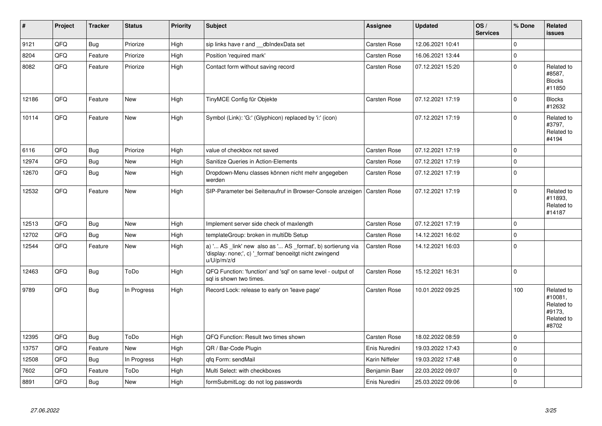| $\pmb{\#}$ | Project | <b>Tracker</b> | <b>Status</b> | <b>Priority</b> | <b>Subject</b>                                                                                                                        | Assignee            | <b>Updated</b>   | OS/<br><b>Services</b> | % Done      | Related<br><b>issues</b>                                             |
|------------|---------|----------------|---------------|-----------------|---------------------------------------------------------------------------------------------------------------------------------------|---------------------|------------------|------------------------|-------------|----------------------------------------------------------------------|
| 9121       | QFQ     | <b>Bug</b>     | Priorize      | High            | sip links have r and __dbIndexData set                                                                                                | Carsten Rose        | 12.06.2021 10:41 |                        | $\Omega$    |                                                                      |
| 8204       | QFQ     | Feature        | Priorize      | High            | Position 'required mark'                                                                                                              | Carsten Rose        | 16.06.2021 13:44 |                        | $\mathbf 0$ |                                                                      |
| 8082       | QFQ     | Feature        | Priorize      | High            | Contact form without saving record                                                                                                    | Carsten Rose        | 07.12.2021 15:20 |                        | $\Omega$    | Related to<br>#8587,<br><b>Blocks</b><br>#11850                      |
| 12186      | QFQ     | Feature        | <b>New</b>    | High            | TinyMCE Config für Objekte                                                                                                            | Carsten Rose        | 07.12.2021 17:19 |                        | $\Omega$    | <b>Blocks</b><br>#12632                                              |
| 10114      | QFQ     | Feature        | <b>New</b>    | High            | Symbol (Link): 'G:' (Glyphicon) replaced by 'i:' (icon)                                                                               |                     | 07.12.2021 17:19 |                        | $\Omega$    | Related to<br>#3797,<br>Related to<br>#4194                          |
| 6116       | QFQ     | Bug            | Priorize      | High            | value of checkbox not saved                                                                                                           | <b>Carsten Rose</b> | 07.12.2021 17:19 |                        | $\mathbf 0$ |                                                                      |
| 12974      | QFQ     | <b>Bug</b>     | <b>New</b>    | High            | Sanitize Queries in Action-Elements                                                                                                   | Carsten Rose        | 07.12.2021 17:19 |                        | $\Omega$    |                                                                      |
| 12670      | QFQ     | <b>Bug</b>     | New           | High            | Dropdown-Menu classes können nicht mehr angegeben<br>werden                                                                           | Carsten Rose        | 07.12.2021 17:19 |                        | I٥          |                                                                      |
| 12532      | QFQ     | Feature        | New           | High            | SIP-Parameter bei Seitenaufruf in Browser-Console anzeigen                                                                            | <b>Carsten Rose</b> | 07.12.2021 17:19 |                        | $\Omega$    | Related to<br>#11893.<br>Related to<br>#14187                        |
| 12513      | QFQ     | <b>Bug</b>     | New           | High            | Implement server side check of maxlength                                                                                              | <b>Carsten Rose</b> | 07.12.2021 17:19 |                        | $\Omega$    |                                                                      |
| 12702      | QFQ     | <b>Bug</b>     | <b>New</b>    | High            | templateGroup: broken in multiDb Setup                                                                                                | Carsten Rose        | 14.12.2021 16:02 |                        | $\Omega$    |                                                                      |
| 12544      | QFQ     | Feature        | New           | High            | a) ' AS _link' new also as ' AS _format', b) sortierung via<br>'display: none;', c) '_format' benoeitgt nicht zwingend<br>u/U/p/m/z/d | Carsten Rose        | 14.12.2021 16:03 |                        | $\mathbf 0$ |                                                                      |
| 12463      | QFQ     | <b>Bug</b>     | ToDo          | High            | QFQ Function: 'function' and 'sql' on same level - output of<br>sal is shown two times.                                               | Carsten Rose        | 15.12.2021 16:31 |                        | $\Omega$    |                                                                      |
| 9789       | QFQ     | <b>Bug</b>     | In Progress   | High            | Record Lock: release to early on 'leave page'                                                                                         | <b>Carsten Rose</b> | 10.01.2022 09:25 |                        | 100         | Related to<br>#10081.<br>Related to<br>#9173.<br>Related to<br>#8702 |
| 12395      | QFQ     | <b>Bug</b>     | ToDo          | High            | QFQ Function: Result two times shown                                                                                                  | <b>Carsten Rose</b> | 18.02.2022 08:59 |                        | $\mathbf 0$ |                                                                      |
| 13757      | QFQ     | Feature        | <b>New</b>    | High            | QR / Bar-Code Plugin                                                                                                                  | Enis Nuredini       | 19.03.2022 17:43 |                        | $\Omega$    |                                                                      |
| 12508      | QFQ     | Bug            | In Progress   | High            | qfq Form: sendMail                                                                                                                    | Karin Niffeler      | 19.03.2022 17:48 |                        | $\mathbf 0$ |                                                                      |
| 7602       | QFQ     | Feature        | ToDo          | High            | Multi Select: with checkboxes                                                                                                         | Benjamin Baer       | 22.03.2022 09:07 |                        | $\mathbf 0$ |                                                                      |
| 8891       | QFQ     | <b>Bug</b>     | <b>New</b>    | High            | formSubmitLog: do not log passwords                                                                                                   | Enis Nuredini       | 25.03.2022 09:06 |                        | $\Omega$    |                                                                      |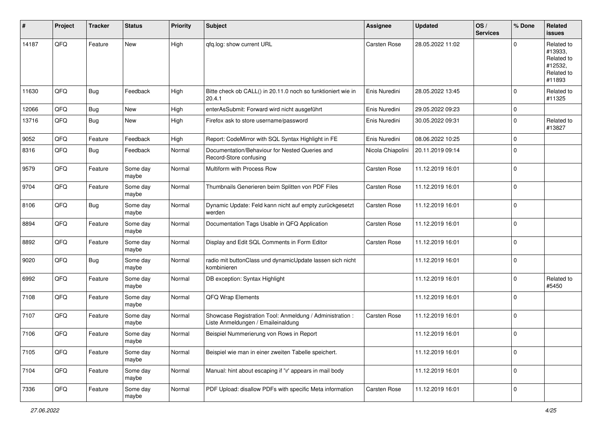| #     | Project | <b>Tracker</b> | <b>Status</b>     | <b>Priority</b> | <b>Subject</b>                                                                                 | <b>Assignee</b>     | <b>Updated</b>   | OS/<br><b>Services</b> | % Done      | Related<br>issues                                                      |
|-------|---------|----------------|-------------------|-----------------|------------------------------------------------------------------------------------------------|---------------------|------------------|------------------------|-------------|------------------------------------------------------------------------|
| 14187 | QFQ     | Feature        | New               | High            | qfq.log: show current URL                                                                      | <b>Carsten Rose</b> | 28.05.2022 11:02 |                        | $\Omega$    | Related to<br>#13933,<br>Related to<br>#12532,<br>Related to<br>#11893 |
| 11630 | QFQ     | <b>Bug</b>     | Feedback          | High            | Bitte check ob CALL() in 20.11.0 noch so funktioniert wie in<br>20.4.1                         | Enis Nuredini       | 28.05.2022 13:45 |                        | $\Omega$    | Related to<br>#11325                                                   |
| 12066 | QFQ     | <b>Bug</b>     | New               | High            | enterAsSubmit: Forward wird nicht ausgeführt                                                   | Enis Nuredini       | 29.05.2022 09:23 |                        | 0           |                                                                        |
| 13716 | QFQ     | <b>Bug</b>     | New               | High            | Firefox ask to store username/password                                                         | Enis Nuredini       | 30.05.2022 09:31 |                        | $\Omega$    | Related to<br>#13827                                                   |
| 9052  | QFQ     | Feature        | Feedback          | High            | Report: CodeMirror with SQL Syntax Highlight in FE                                             | Enis Nuredini       | 08.06.2022 10:25 |                        | $\mathbf 0$ |                                                                        |
| 8316  | QFQ     | Bug            | Feedback          | Normal          | Documentation/Behaviour for Nested Queries and<br>Record-Store confusing                       | Nicola Chiapolini   | 20.11.2019 09:14 |                        | $\Omega$    |                                                                        |
| 9579  | QFQ     | Feature        | Some day<br>maybe | Normal          | Multiform with Process Row                                                                     | <b>Carsten Rose</b> | 11.12.2019 16:01 |                        | $\mathbf 0$ |                                                                        |
| 9704  | QFQ     | Feature        | Some day<br>maybe | Normal          | Thumbnails Generieren beim Splitten von PDF Files                                              | <b>Carsten Rose</b> | 11.12.2019 16:01 |                        | $\Omega$    |                                                                        |
| 8106  | QFQ     | <b>Bug</b>     | Some day<br>maybe | Normal          | Dynamic Update: Feld kann nicht auf empty zurückgesetzt<br>werden                              | <b>Carsten Rose</b> | 11.12.2019 16:01 |                        | $\Omega$    |                                                                        |
| 8894  | QFQ     | Feature        | Some day<br>maybe | Normal          | Documentation Tags Usable in QFQ Application                                                   | <b>Carsten Rose</b> | 11.12.2019 16:01 |                        | $\mathbf 0$ |                                                                        |
| 8892  | QFQ     | Feature        | Some day<br>maybe | Normal          | Display and Edit SQL Comments in Form Editor                                                   | <b>Carsten Rose</b> | 11.12.2019 16:01 |                        | 0           |                                                                        |
| 9020  | QFQ     | <b>Bug</b>     | Some day<br>maybe | Normal          | radio mit buttonClass und dynamicUpdate lassen sich nicht<br>kombinieren                       |                     | 11.12.2019 16:01 |                        | $\Omega$    |                                                                        |
| 6992  | QFQ     | Feature        | Some day<br>maybe | Normal          | DB exception: Syntax Highlight                                                                 |                     | 11.12.2019 16:01 |                        | $\Omega$    | Related to<br>#5450                                                    |
| 7108  | QFQ     | Feature        | Some day<br>maybe | Normal          | QFQ Wrap Elements                                                                              |                     | 11.12.2019 16:01 |                        | $\Omega$    |                                                                        |
| 7107  | QFQ     | Feature        | Some day<br>maybe | Normal          | Showcase Registration Tool: Anmeldung / Administration :<br>Liste Anmeldungen / Emaileinaldung | Carsten Rose        | 11.12.2019 16:01 |                        | $\Omega$    |                                                                        |
| 7106  | QFQ     | Feature        | Some day<br>maybe | Normal          | Beispiel Nummerierung von Rows in Report                                                       |                     | 11.12.2019 16:01 |                        | $\Omega$    |                                                                        |
| 7105  | QFG     | Feature        | Some day<br>maybe | Normal          | Beispiel wie man in einer zweiten Tabelle speichert.                                           |                     | 11.12.2019 16:01 |                        | 0           |                                                                        |
| 7104  | QFG     | Feature        | Some day<br>maybe | Normal          | Manual: hint about escaping if '\r' appears in mail body                                       |                     | 11.12.2019 16:01 |                        | 0           |                                                                        |
| 7336  | QFG     | Feature        | Some day<br>maybe | Normal          | PDF Upload: disallow PDFs with specific Meta information                                       | Carsten Rose        | 11.12.2019 16:01 |                        | 0           |                                                                        |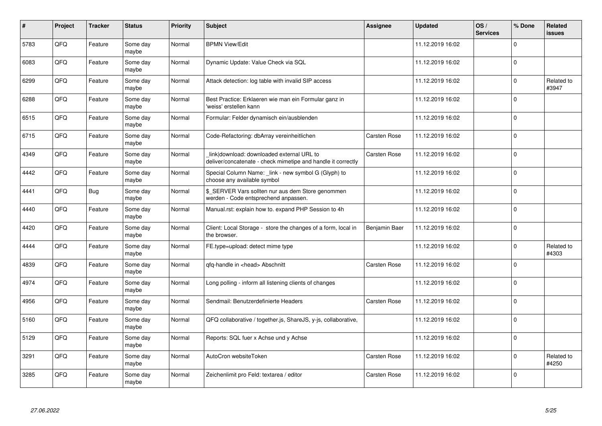| $\pmb{\sharp}$ | Project | <b>Tracker</b> | <b>Status</b>     | <b>Priority</b> | <b>Subject</b>                                                                                            | <b>Assignee</b>     | <b>Updated</b>   | OS/<br><b>Services</b> | % Done      | Related<br>issues   |
|----------------|---------|----------------|-------------------|-----------------|-----------------------------------------------------------------------------------------------------------|---------------------|------------------|------------------------|-------------|---------------------|
| 5783           | QFQ     | Feature        | Some day<br>maybe | Normal          | <b>BPMN View/Edit</b>                                                                                     |                     | 11.12.2019 16:02 |                        | $\Omega$    |                     |
| 6083           | QFQ     | Feature        | Some day<br>maybe | Normal          | Dynamic Update: Value Check via SQL                                                                       |                     | 11.12.2019 16:02 |                        | $\Omega$    |                     |
| 6299           | QFQ     | Feature        | Some day<br>maybe | Normal          | Attack detection: log table with invalid SIP access                                                       |                     | 11.12.2019 16:02 |                        | $\Omega$    | Related to<br>#3947 |
| 6288           | QFQ     | Feature        | Some day<br>maybe | Normal          | Best Practice: Erklaeren wie man ein Formular ganz in<br>'weiss' erstellen kann                           |                     | 11.12.2019 16:02 |                        | $\Omega$    |                     |
| 6515           | QFQ     | Feature        | Some day<br>maybe | Normal          | Formular: Felder dynamisch ein/ausblenden                                                                 |                     | 11.12.2019 16:02 |                        | $\mathbf 0$ |                     |
| 6715           | QFQ     | Feature        | Some day<br>maybe | Normal          | Code-Refactoring: dbArray vereinheitlichen                                                                | <b>Carsten Rose</b> | 11.12.2019 16:02 |                        | $\Omega$    |                     |
| 4349           | QFQ     | Feature        | Some day<br>maybe | Normal          | link download: downloaded external URL to<br>deliver/concatenate - check mimetipe and handle it correctly | <b>Carsten Rose</b> | 11.12.2019 16:02 |                        | $\Omega$    |                     |
| 4442           | QFQ     | Feature        | Some day<br>maybe | Normal          | Special Column Name: _link - new symbol G (Glyph) to<br>choose any available symbol                       |                     | 11.12.2019 16:02 |                        | $\Omega$    |                     |
| 4441           | QFQ     | <b>Bug</b>     | Some day<br>maybe | Normal          | \$ SERVER Vars sollten nur aus dem Store genommen<br>werden - Code entsprechend anpassen.                 |                     | 11.12.2019 16:02 |                        | $\Omega$    |                     |
| 4440           | QFQ     | Feature        | Some day<br>maybe | Normal          | Manual.rst: explain how to. expand PHP Session to 4h                                                      |                     | 11.12.2019 16:02 |                        | $\Omega$    |                     |
| 4420           | QFQ     | Feature        | Some day<br>maybe | Normal          | Client: Local Storage - store the changes of a form, local in<br>the browser.                             | Benjamin Baer       | 11.12.2019 16:02 |                        | $\mathbf 0$ |                     |
| 4444           | QFQ     | Feature        | Some day<br>maybe | Normal          | FE.type=upload: detect mime type                                                                          |                     | 11.12.2019 16:02 |                        | $\Omega$    | Related to<br>#4303 |
| 4839           | QFQ     | Feature        | Some day<br>maybe | Normal          | qfq-handle in <head> Abschnitt</head>                                                                     | <b>Carsten Rose</b> | 11.12.2019 16:02 |                        | $\Omega$    |                     |
| 4974           | QFQ     | Feature        | Some day<br>maybe | Normal          | Long polling - inform all listening clients of changes                                                    |                     | 11.12.2019 16:02 |                        | $\mathbf 0$ |                     |
| 4956           | QFQ     | Feature        | Some day<br>maybe | Normal          | Sendmail: Benutzerdefinierte Headers                                                                      | <b>Carsten Rose</b> | 11.12.2019 16:02 |                        | $\Omega$    |                     |
| 5160           | QFQ     | Feature        | Some day<br>maybe | Normal          | QFQ collaborative / together.js, ShareJS, y-js, collaborative,                                            |                     | 11.12.2019 16:02 |                        | $\Omega$    |                     |
| 5129           | QFQ     | Feature        | Some day<br>maybe | Normal          | Reports: SQL fuer x Achse und y Achse                                                                     |                     | 11.12.2019 16:02 |                        | $\Omega$    |                     |
| 3291           | QFQ     | Feature        | Some day<br>maybe | Normal          | AutoCron websiteToken                                                                                     | Carsten Rose        | 11.12.2019 16:02 |                        | 0           | Related to<br>#4250 |
| 3285           | QFQ     | Feature        | Some day<br>maybe | Normal          | Zeichenlimit pro Feld: textarea / editor                                                                  | Carsten Rose        | 11.12.2019 16:02 |                        | $\Omega$    |                     |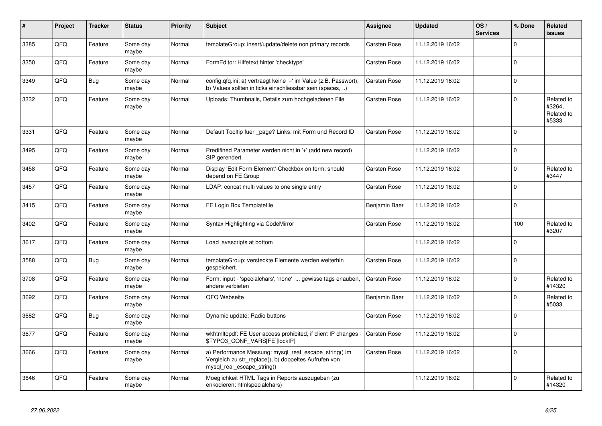| $\vert$ # | Project | <b>Tracker</b> | <b>Status</b>     | <b>Priority</b> | <b>Subject</b>                                                                                                                               | Assignee            | <b>Updated</b>   | OS/<br><b>Services</b> | % Done         | Related<br>issues                           |
|-----------|---------|----------------|-------------------|-----------------|----------------------------------------------------------------------------------------------------------------------------------------------|---------------------|------------------|------------------------|----------------|---------------------------------------------|
| 3385      | QFQ     | Feature        | Some day<br>maybe | Normal          | templateGroup: insert/update/delete non primary records                                                                                      | Carsten Rose        | 11.12.2019 16:02 |                        | $\Omega$       |                                             |
| 3350      | QFQ     | Feature        | Some day<br>maybe | Normal          | FormEditor: Hilfetext hinter 'checktype'                                                                                                     | Carsten Rose        | 11.12.2019 16:02 |                        | $\Omega$       |                                             |
| 3349      | QFQ     | Bug            | Some day<br>maybe | Normal          | config.qfq.ini: a) vertraegt keine '=' im Value (z.B. Passwort),<br>b) Values sollten in ticks einschliessbar sein (spaces, )                | Carsten Rose        | 11.12.2019 16:02 |                        | $\Omega$       |                                             |
| 3332      | QFQ     | Feature        | Some day<br>maybe | Normal          | Uploads: Thumbnails, Details zum hochgeladenen File                                                                                          | Carsten Rose        | 11.12.2019 16:02 |                        | $\Omega$       | Related to<br>#3264,<br>Related to<br>#5333 |
| 3331      | QFQ     | Feature        | Some day<br>maybe | Normal          | Default Tooltip fuer page? Links: mit Form und Record ID                                                                                     | Carsten Rose        | 11.12.2019 16:02 |                        | $\Omega$       |                                             |
| 3495      | QFQ     | Feature        | Some day<br>maybe | Normal          | Predifined Parameter werden nicht in '+' (add new record)<br>SIP gerendert.                                                                  |                     | 11.12.2019 16:02 |                        | $\overline{0}$ |                                             |
| 3458      | QFQ     | Feature        | Some day<br>maybe | Normal          | Display 'Edit Form Element'-Checkbox on form: should<br>depend on FE Group                                                                   | Carsten Rose        | 11.12.2019 16:02 |                        | $\Omega$       | Related to<br>#3447                         |
| 3457      | QFQ     | Feature        | Some day<br>maybe | Normal          | LDAP: concat multi values to one single entry                                                                                                | Carsten Rose        | 11.12.2019 16:02 |                        | $\Omega$       |                                             |
| 3415      | QFQ     | Feature        | Some day<br>maybe | Normal          | FE Login Box Templatefile                                                                                                                    | Benjamin Baer       | 11.12.2019 16:02 |                        | $\Omega$       |                                             |
| 3402      | QFQ     | Feature        | Some day<br>maybe | Normal          | Syntax Highlighting via CodeMirror                                                                                                           | Carsten Rose        | 11.12.2019 16:02 |                        | 100            | Related to<br>#3207                         |
| 3617      | QFQ     | Feature        | Some day<br>maybe | Normal          | Load javascripts at bottom                                                                                                                   |                     | 11.12.2019 16:02 |                        | $\Omega$       |                                             |
| 3588      | QFQ     | <b>Bug</b>     | Some day<br>maybe | Normal          | templateGroup: versteckte Elemente werden weiterhin<br>gespeichert.                                                                          | Carsten Rose        | 11.12.2019 16:02 |                        | $\Omega$       |                                             |
| 3708      | QFQ     | Feature        | Some day<br>maybe | Normal          | Form: input - 'specialchars', 'none'  gewisse tags erlauben,<br>andere verbieten                                                             | <b>Carsten Rose</b> | 11.12.2019 16:02 |                        | $\Omega$       | Related to<br>#14320                        |
| 3692      | QFQ     | Feature        | Some day<br>maybe | Normal          | QFQ Webseite                                                                                                                                 | Benjamin Baer       | 11.12.2019 16:02 |                        | $\Omega$       | Related to<br>#5033                         |
| 3682      | QFQ     | <b>Bug</b>     | Some day<br>maybe | Normal          | Dynamic update: Radio buttons                                                                                                                | Carsten Rose        | 11.12.2019 16:02 |                        | $\Omega$       |                                             |
| 3677      | QFQ     | Feature        | Some day<br>maybe | Normal          | wkhtmitopdf: FE User access prohibited, if client IP changes<br>\$TYPO3_CONF_VARS[FE][lockIP]                                                | <b>Carsten Rose</b> | 11.12.2019 16:02 |                        | $\Omega$       |                                             |
| 3666      | QFQ     | Feature        | Some day<br>maybe | Normal          | a) Performance Messung: mysql_real_escape_string() im<br>Vergleich zu str_replace(), b) doppeltes Aufrufen von<br>mysql_real_escape_string() | Carsten Rose        | 11.12.2019 16:02 |                        | $\Omega$       |                                             |
| 3646      | QFQ     | Feature        | Some day<br>maybe | Normal          | Moeglichkeit HTML Tags in Reports auszugeben (zu<br>enkodieren: htmlspecialchars)                                                            |                     | 11.12.2019 16:02 |                        | $\Omega$       | Related to<br>#14320                        |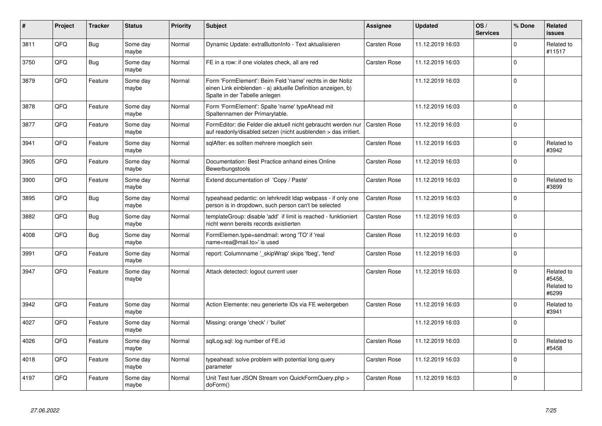| #    | Project | <b>Tracker</b> | <b>Status</b>     | <b>Priority</b> | <b>Subject</b>                                                                                                                                           | Assignee            | <b>Updated</b>   | OS/<br><b>Services</b> | % Done   | Related<br><b>issues</b>                    |
|------|---------|----------------|-------------------|-----------------|----------------------------------------------------------------------------------------------------------------------------------------------------------|---------------------|------------------|------------------------|----------|---------------------------------------------|
| 3811 | QFQ     | <b>Bug</b>     | Some day<br>maybe | Normal          | Dynamic Update: extraButtonInfo - Text aktualisieren                                                                                                     | <b>Carsten Rose</b> | 11.12.2019 16:03 |                        | $\Omega$ | Related to<br>#11517                        |
| 3750 | QFQ     | <b>Bug</b>     | Some day<br>maybe | Normal          | FE in a row: if one violates check, all are red                                                                                                          | Carsten Rose        | 11.12.2019 16:03 |                        | $\Omega$ |                                             |
| 3879 | QFQ     | Feature        | Some day<br>maybe | Normal          | Form 'FormElement': Beim Feld 'name' rechts in der Notiz<br>einen Link einblenden - a) aktuelle Definition anzeigen, b)<br>Spalte in der Tabelle anlegen |                     | 11.12.2019 16:03 |                        | $\Omega$ |                                             |
| 3878 | QFQ     | Feature        | Some day<br>maybe | Normal          | Form 'FormElement': Spalte 'name' typeAhead mit<br>Spaltennamen der Primarytable.                                                                        |                     | 11.12.2019 16:03 |                        | $\Omega$ |                                             |
| 3877 | QFQ     | Feature        | Some day<br>maybe | Normal          | FormEditor: die Felder die aktuell nicht gebraucht werden nur<br>auf readonly/disabled setzen (nicht ausblenden > das irritiert.                         | <b>Carsten Rose</b> | 11.12.2019 16:03 |                        | $\Omega$ |                                             |
| 3941 | QFQ     | Feature        | Some day<br>maybe | Normal          | sqlAfter: es sollten mehrere moeglich sein                                                                                                               | Carsten Rose        | 11.12.2019 16:03 |                        | $\Omega$ | Related to<br>#3942                         |
| 3905 | QFQ     | Feature        | Some day<br>maybe | Normal          | Documentation: Best Practice anhand eines Online<br>Bewerbungstools                                                                                      | Carsten Rose        | 11.12.2019 16:03 |                        | $\Omega$ |                                             |
| 3900 | QFQ     | Feature        | Some day<br>maybe | Normal          | Extend documentation of 'Copy / Paste'                                                                                                                   | Carsten Rose        | 11.12.2019 16:03 |                        | $\Omega$ | Related to<br>#3899                         |
| 3895 | QFQ     | <b>Bug</b>     | Some day<br>maybe | Normal          | typeahead pedantic: on lehrkredit Idap webpass - if only one<br>person is in dropdown, such person can't be selected                                     | <b>Carsten Rose</b> | 11.12.2019 16:03 |                        | $\Omega$ |                                             |
| 3882 | QFQ     | <b>Bug</b>     | Some day<br>maybe | Normal          | templateGroup: disable 'add' if limit is reached - funktioniert<br>nicht wenn bereits records existierten                                                | Carsten Rose        | 11.12.2019 16:03 |                        | $\Omega$ |                                             |
| 4008 | QFQ     | <b>Bug</b>     | Some day<br>maybe | Normal          | FormElemen.type=sendmail: wrong 'TO' if 'real<br>name <rea@mail.to>' is used</rea@mail.to>                                                               | <b>Carsten Rose</b> | 11.12.2019 16:03 |                        | $\Omega$ |                                             |
| 3991 | QFQ     | Feature        | Some day<br>maybe | Normal          | report: Columnname ' skipWrap' skips 'fbeg', 'fend'                                                                                                      | Carsten Rose        | 11.12.2019 16:03 |                        | $\Omega$ |                                             |
| 3947 | QFQ     | Feature        | Some day<br>maybe | Normal          | Attack detectect: logout current user                                                                                                                    | Carsten Rose        | 11.12.2019 16:03 |                        | $\Omega$ | Related to<br>#5458,<br>Related to<br>#6299 |
| 3942 | QFQ     | Feature        | Some day<br>maybe | Normal          | Action Elemente: neu generierte IDs via FE weitergeben                                                                                                   | Carsten Rose        | 11.12.2019 16:03 |                        | $\Omega$ | Related to<br>#3941                         |
| 4027 | QFQ     | Feature        | Some day<br>maybe | Normal          | Missing: orange 'check' / 'bullet'                                                                                                                       |                     | 11.12.2019 16:03 |                        | $\Omega$ |                                             |
| 4026 | QFQ     | Feature        | Some day<br>maybe | Normal          | sqlLog.sql: log number of FE.id                                                                                                                          | Carsten Rose        | 11.12.2019 16:03 |                        | $\Omega$ | Related to<br>#5458                         |
| 4018 | QFQ     | Feature        | Some day<br>maybe | Normal          | typeahead: solve problem with potential long query<br>parameter                                                                                          | Carsten Rose        | 11.12.2019 16:03 |                        | $\Omega$ |                                             |
| 4197 | QFQ     | Feature        | Some day<br>maybe | Normal          | Unit Test fuer JSON Stream von QuickFormQuery.php ><br>doForm()                                                                                          | Carsten Rose        | 11.12.2019 16:03 |                        | $\Omega$ |                                             |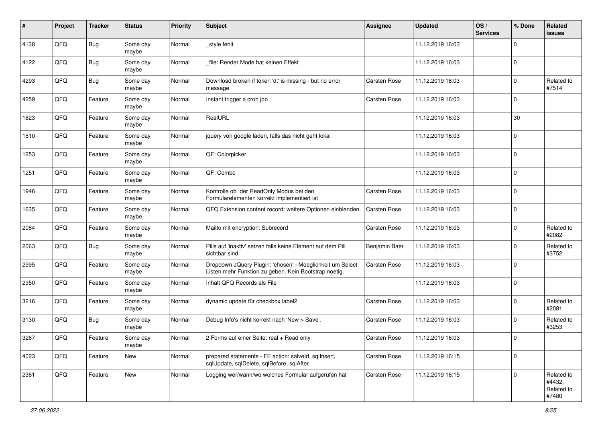| #    | Project | <b>Tracker</b> | <b>Status</b>     | <b>Priority</b> | <b>Subject</b>                                                                                                     | <b>Assignee</b>     | <b>Updated</b>   | OS/<br><b>Services</b> | % Done      | Related<br>issues                           |
|------|---------|----------------|-------------------|-----------------|--------------------------------------------------------------------------------------------------------------------|---------------------|------------------|------------------------|-------------|---------------------------------------------|
| 4138 | QFQ     | <b>Bug</b>     | Some day<br>maybe | Normal          | _style fehlt                                                                                                       |                     | 11.12.2019 16:03 |                        | 0           |                                             |
| 4122 | QFQ     | Bug            | Some day<br>maybe | Normal          | file: Render Mode hat keinen Effekt                                                                                |                     | 11.12.2019 16:03 |                        | $\mathbf 0$ |                                             |
| 4293 | QFQ     | <b>Bug</b>     | Some day<br>maybe | Normal          | Download broken if token 'd:' is missing - but no error<br>message                                                 | Carsten Rose        | 11.12.2019 16:03 |                        | 0           | Related to<br>#7514                         |
| 4259 | QFQ     | Feature        | Some day<br>maybe | Normal          | Instant trigger a cron job                                                                                         | Carsten Rose        | 11.12.2019 16:03 |                        | $\Omega$    |                                             |
| 1623 | QFQ     | Feature        | Some day<br>maybe | Normal          | RealURL                                                                                                            |                     | 11.12.2019 16:03 |                        | 30          |                                             |
| 1510 | QFQ     | Feature        | Some day<br>maybe | Normal          | jquery von google laden, falls das nicht geht lokal                                                                |                     | 11.12.2019 16:03 |                        | $\Omega$    |                                             |
| 1253 | QFQ     | Feature        | Some day<br>maybe | Normal          | QF: Colorpicker                                                                                                    |                     | 11.12.2019 16:03 |                        | $\Omega$    |                                             |
| 1251 | QFQ     | Feature        | Some day<br>maybe | Normal          | QF: Combo                                                                                                          |                     | 11.12.2019 16:03 |                        | $\mathbf 0$ |                                             |
| 1946 | QFQ     | Feature        | Some day<br>maybe | Normal          | Kontrolle ob der ReadOnly Modus bei den<br>Formularelementen korrekt implementiert ist                             | <b>Carsten Rose</b> | 11.12.2019 16:03 |                        | $\mathbf 0$ |                                             |
| 1635 | QFQ     | Feature        | Some day<br>maybe | Normal          | QFQ Extension content record: weitere Optionen einblenden.                                                         | <b>Carsten Rose</b> | 11.12.2019 16:03 |                        | 0           |                                             |
| 2084 | QFQ     | Feature        | Some day<br>maybe | Normal          | Mailto mit encryption: Subrecord                                                                                   | <b>Carsten Rose</b> | 11.12.2019 16:03 |                        | $\mathbf 0$ | Related to<br>#2082                         |
| 2063 | QFQ     | <b>Bug</b>     | Some day<br>maybe | Normal          | Pills auf 'inaktiv' setzen falls keine Element auf dem Pill<br>sichtbar sind.                                      | Benjamin Baer       | 11.12.2019 16:03 |                        | $\Omega$    | Related to<br>#3752                         |
| 2995 | QFQ     | Feature        | Some day<br>maybe | Normal          | Dropdown JQuery Plugin: 'chosen' - Moeglichkeit um Select<br>Listen mehr Funktion zu geben. Kein Bootstrap noetig. | Carsten Rose        | 11.12.2019 16:03 |                        | $\Omega$    |                                             |
| 2950 | QFQ     | Feature        | Some day<br>maybe | Normal          | Inhalt QFQ Records als File                                                                                        |                     | 11.12.2019 16:03 |                        | $\Omega$    |                                             |
| 3216 | QFQ     | Feature        | Some day<br>maybe | Normal          | dynamic update für checkbox label2                                                                                 | <b>Carsten Rose</b> | 11.12.2019 16:03 |                        | $\mathbf 0$ | Related to<br>#2081                         |
| 3130 | QFQ     | <b>Bug</b>     | Some day<br>maybe | Normal          | Debug Info's nicht korrekt nach 'New > Save'.                                                                      | Carsten Rose        | 11.12.2019 16:03 |                        | $\Omega$    | Related to<br>#3253                         |
| 3267 | QFQ     | Feature        | Some day<br>maybe | Normal          | 2 Forms auf einer Seite: real + Read only                                                                          | <b>Carsten Rose</b> | 11.12.2019 16:03 |                        | $\Omega$    |                                             |
| 4023 | QFQ     | Feature        | New               | Normal          | prepared statements - FE action: salveld, sqllnsert,<br>sqlUpdate, sqlDelete, sqlBefore, sqlAfter                  | Carsten Rose        | 11.12.2019 16:15 |                        | $\mathbf 0$ |                                             |
| 2361 | QFQ     | Feature        | New               | Normal          | Logging wer/wann/wo welches Formular aufgerufen hat                                                                | Carsten Rose        | 11.12.2019 16:15 |                        | 0           | Related to<br>#4432,<br>Related to<br>#7480 |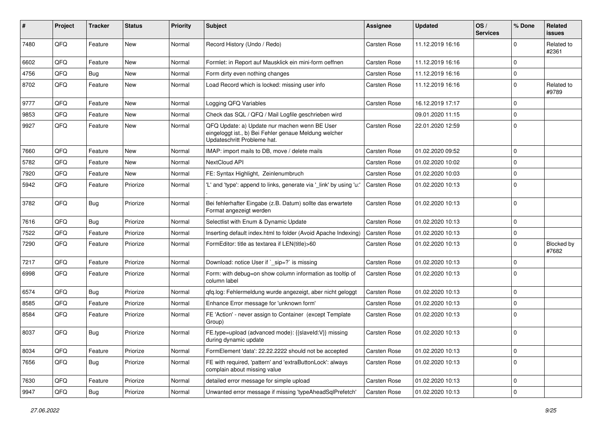| #    | Project | <b>Tracker</b> | <b>Status</b> | <b>Priority</b> | <b>Subject</b>                                                                                                                        | <b>Assignee</b>     | <b>Updated</b>   | OS/<br><b>Services</b> | % Done       | Related<br>issues   |
|------|---------|----------------|---------------|-----------------|---------------------------------------------------------------------------------------------------------------------------------------|---------------------|------------------|------------------------|--------------|---------------------|
| 7480 | QFQ     | Feature        | <b>New</b>    | Normal          | Record History (Undo / Redo)                                                                                                          | <b>Carsten Rose</b> | 11.12.2019 16:16 |                        | $\Omega$     | Related to<br>#2361 |
| 6602 | QFQ     | Feature        | New           | Normal          | Formlet: in Report auf Mausklick ein mini-form oeffnen                                                                                | <b>Carsten Rose</b> | 11.12.2019 16:16 |                        | 0            |                     |
| 4756 | QFQ     | <b>Bug</b>     | New           | Normal          | Form dirty even nothing changes                                                                                                       | <b>Carsten Rose</b> | 11.12.2019 16:16 |                        | $\mathbf 0$  |                     |
| 8702 | QFQ     | Feature        | New           | Normal          | Load Record which is locked: missing user info                                                                                        | Carsten Rose        | 11.12.2019 16:16 |                        | 0            | Related to<br>#9789 |
| 9777 | QFQ     | Feature        | New           | Normal          | Logging QFQ Variables                                                                                                                 | <b>Carsten Rose</b> | 16.12.2019 17:17 |                        | $\mathbf 0$  |                     |
| 9853 | QFQ     | Feature        | <b>New</b>    | Normal          | Check das SQL / QFQ / Mail Logfile geschrieben wird                                                                                   |                     | 09.01.2020 11:15 |                        | $\mathbf 0$  |                     |
| 9927 | QFQ     | Feature        | New           | Normal          | QFQ Update: a) Update nur machen wenn BE User<br>eingeloggt ist., b) Bei Fehler genaue Meldung welcher<br>Updateschritt Probleme hat. | Carsten Rose        | 22.01.2020 12:59 |                        | 0            |                     |
| 7660 | QFQ     | Feature        | <b>New</b>    | Normal          | IMAP: import mails to DB, move / delete mails                                                                                         | <b>Carsten Rose</b> | 01.02.2020 09:52 |                        | $\mathbf 0$  |                     |
| 5782 | QFQ     | Feature        | <b>New</b>    | Normal          | NextCloud API                                                                                                                         | Carsten Rose        | 01.02.2020 10:02 |                        | $\mathbf 0$  |                     |
| 7920 | QFQ     | Feature        | New           | Normal          | FE: Syntax Highlight, Zeinlenumbruch                                                                                                  | <b>Carsten Rose</b> | 01.02.2020 10:03 |                        | $\mathbf 0$  |                     |
| 5942 | QFQ     | Feature        | Priorize      | Normal          | 'L' and 'type': append to links, generate via '_link' by using 'u:                                                                    | Carsten Rose        | 01.02.2020 10:13 |                        | $\Omega$     |                     |
| 3782 | QFQ     | <b>Bug</b>     | Priorize      | Normal          | Bei fehlerhafter Eingabe (z.B. Datum) sollte das erwartete<br>Format angezeigt werden                                                 | Carsten Rose        | 01.02.2020 10:13 |                        | $\mathbf 0$  |                     |
| 7616 | QFQ     | <b>Bug</b>     | Priorize      | Normal          | Selectlist with Enum & Dynamic Update                                                                                                 | <b>Carsten Rose</b> | 01.02.2020 10:13 |                        | $\mathbf 0$  |                     |
| 7522 | QFQ     | Feature        | Priorize      | Normal          | Inserting default index.html to folder (Avoid Apache Indexing)                                                                        | Carsten Rose        | 01.02.2020 10:13 |                        | 0            |                     |
| 7290 | QFQ     | Feature        | Priorize      | Normal          | FormEditor: title as textarea if LEN(title)>60                                                                                        | Carsten Rose        | 01.02.2020 10:13 |                        | $\mathbf 0$  | Blocked by<br>#7682 |
| 7217 | QFQ     | Feature        | Priorize      | Normal          | Download: notice User if `_sip=?` is missing                                                                                          | Carsten Rose        | 01.02.2020 10:13 |                        | $\mathbf 0$  |                     |
| 6998 | QFQ     | Feature        | Priorize      | Normal          | Form: with debug=on show column information as tooltip of<br>column label                                                             | <b>Carsten Rose</b> | 01.02.2020 10:13 |                        | $\mathbf 0$  |                     |
| 6574 | QFQ     | <b>Bug</b>     | Priorize      | Normal          | qfq.log: Fehlermeldung wurde angezeigt, aber nicht geloggt                                                                            | Carsten Rose        | 01.02.2020 10:13 |                        | $\mathbf 0$  |                     |
| 8585 | QFQ     | Feature        | Priorize      | Normal          | Enhance Error message for 'unknown form'                                                                                              | <b>Carsten Rose</b> | 01.02.2020 10:13 |                        | $\mathbf 0$  |                     |
| 8584 | QFQ     | Feature        | Priorize      | Normal          | FE 'Action' - never assign to Container (except Template<br>Group)                                                                    | Carsten Rose        | 01.02.2020 10:13 |                        | 0            |                     |
| 8037 | QFQ     | <b>Bug</b>     | Priorize      | Normal          | FE.type=upload (advanced mode): {{slaveld:V}} missing<br>during dynamic update                                                        | Carsten Rose        | 01.02.2020 10:13 |                        | $\mathbf 0$  |                     |
| 8034 | QFQ     | Feature        | Priorize      | Normal          | FormElement 'data': 22.22.2222 should not be accepted                                                                                 | Carsten Rose        | 01.02.2020 10:13 |                        | 0            |                     |
| 7656 | QFQ     | <b>Bug</b>     | Priorize      | Normal          | FE with required, 'pattern' and 'extraButtonLock': always<br>complain about missing value                                             | Carsten Rose        | 01.02.2020 10:13 |                        | $\mathbf 0$  |                     |
| 7630 | QFQ     | Feature        | Priorize      | Normal          | detailed error message for simple upload                                                                                              | Carsten Rose        | 01.02.2020 10:13 |                        | $\mathsf{O}$ |                     |
| 9947 | QFQ     | Bug            | Priorize      | Normal          | Unwanted error message if missing 'typeAheadSqlPrefetch'                                                                              | Carsten Rose        | 01.02.2020 10:13 |                        | $\mathbf 0$  |                     |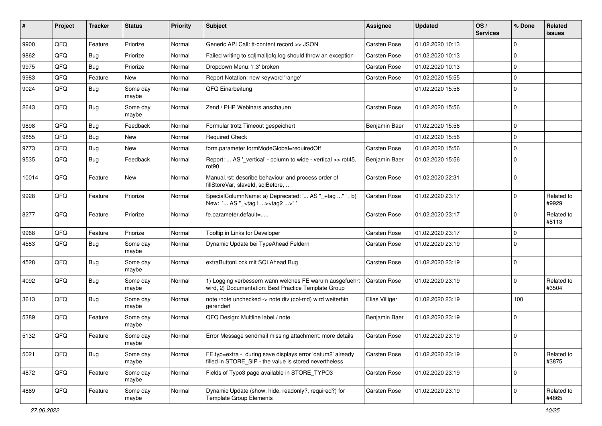| #     | Project | <b>Tracker</b> | <b>Status</b>     | <b>Priority</b> | Subject                                                                                                              | <b>Assignee</b>     | <b>Updated</b>   | OS/<br><b>Services</b> | % Done      | Related<br><b>issues</b> |
|-------|---------|----------------|-------------------|-----------------|----------------------------------------------------------------------------------------------------------------------|---------------------|------------------|------------------------|-------------|--------------------------|
| 9900  | QFQ     | Feature        | Priorize          | Normal          | Generic API Call: tt-content record >> JSON                                                                          | Carsten Rose        | 01.02.2020 10:13 |                        | $\Omega$    |                          |
| 9862  | QFQ     | Bug            | Priorize          | Normal          | Failed writing to sql mail qfq.log should throw an exception                                                         | Carsten Rose        | 01.02.2020 10:13 |                        | $\Omega$    |                          |
| 9975  | QFQ     | Bug            | Priorize          | Normal          | Dropdown Menu: 'r:3' broken                                                                                          | <b>Carsten Rose</b> | 01.02.2020 10:13 |                        | $\Omega$    |                          |
| 9983  | QFQ     | Feature        | New               | Normal          | Report Notation: new keyword 'range'                                                                                 | Carsten Rose        | 01.02.2020 15:55 |                        | $\Omega$    |                          |
| 9024  | QFQ     | <b>Bug</b>     | Some day<br>maybe | Normal          | QFQ Einarbeitung                                                                                                     |                     | 01.02.2020 15:56 |                        | 0           |                          |
| 2643  | QFQ     | <b>Bug</b>     | Some day<br>maybe | Normal          | Zend / PHP Webinars anschauen                                                                                        | Carsten Rose        | 01.02.2020 15:56 |                        | $\Omega$    |                          |
| 9898  | QFQ     | <b>Bug</b>     | Feedback          | Normal          | Formular trotz Timeout gespeichert                                                                                   | Benjamin Baer       | 01.02.2020 15:56 |                        | $\mathbf 0$ |                          |
| 9855  | QFQ     | Bug            | New               | Normal          | <b>Required Check</b>                                                                                                |                     | 01.02.2020 15:56 |                        | $\Omega$    |                          |
| 9773  | QFQ     | Bug            | New               | Normal          | form.parameter.formModeGlobal=requiredOff                                                                            | <b>Carsten Rose</b> | 01.02.2020 15:56 |                        | $\mathbf 0$ |                          |
| 9535  | QFQ     | <b>Bug</b>     | Feedback          | Normal          | Report:  AS '_vertical' - column to wide - vertical >> rot45,<br>rot <sub>90</sub>                                   | Benjamin Baer       | 01.02.2020 15:56 |                        | $\Omega$    |                          |
| 10014 | QFQ     | Feature        | New               | Normal          | Manual.rst: describe behaviour and process order of<br>fillStoreVar, slaveId, sqlBefore,                             | <b>Carsten Rose</b> | 01.02.2020 22:31 |                        | $\Omega$    |                          |
| 9928  | QFQ     | Feature        | Priorize          | Normal          | SpecialColumnName: a) Deprecated: ' AS "_+tag " ', b)<br>New: ' AS "_ <tag1><tag2>"</tag2></tag1>                    | <b>Carsten Rose</b> | 01.02.2020 23:17 |                        | $\Omega$    | Related to<br>#9929      |
| 8277  | QFQ     | Feature        | Priorize          | Normal          | fe.parameter.default=                                                                                                | <b>Carsten Rose</b> | 01.02.2020 23:17 |                        | $\Omega$    | Related to<br>#8113      |
| 9968  | QFQ     | Feature        | Priorize          | Normal          | Tooltip in Links for Developer                                                                                       | <b>Carsten Rose</b> | 01.02.2020 23:17 |                        | $\mathbf 0$ |                          |
| 4583  | QFQ     | Bug            | Some day<br>maybe | Normal          | Dynamic Update bei TypeAhead Feldern                                                                                 | Carsten Rose        | 01.02.2020 23:19 |                        | $\Omega$    |                          |
| 4528  | QFQ     | <b>Bug</b>     | Some day<br>maybe | Normal          | extraButtonLock mit SQLAhead Bug                                                                                     | Carsten Rose        | 01.02.2020 23:19 |                        | $\Omega$    |                          |
| 4092  | QFQ     | Bug            | Some day<br>maybe | Normal          | 1) Logging verbessern wann welches FE warum ausgefuehrt<br>wird, 2) Documentation: Best Practice Template Group      | <b>Carsten Rose</b> | 01.02.2020 23:19 |                        | $\Omega$    | Related to<br>#3504      |
| 3613  | QFQ     | <b>Bug</b>     | Some day<br>maybe | Normal          | note /note unchecked -> note div (col-md) wird weiterhin<br>gerendert                                                | Elias Villiger      | 01.02.2020 23:19 |                        | 100         |                          |
| 5389  | QFQ     | Feature        | Some day<br>maybe | Normal          | QFQ Design: Multline label / note                                                                                    | Benjamin Baer       | 01.02.2020 23:19 |                        | $\mathbf 0$ |                          |
| 5132  | QFQ     | Feature        | Some day<br>maybe | Normal          | Error Message sendmail missing attachment: more details                                                              | Carsten Rose        | 01.02.2020 23:19 |                        | $\mathbf 0$ |                          |
| 5021  | QFQ     | <b>Bug</b>     | Some day<br>maybe | Normal          | FE.typ=extra - during save displays error 'datum2' already<br>filled in STORE_SIP - the value is stored nevertheless | Carsten Rose        | 01.02.2020 23:19 |                        | $\mathbf 0$ | Related to<br>#3875      |
| 4872  | QFQ     | Feature        | Some day<br>maybe | Normal          | Fields of Typo3 page available in STORE TYPO3                                                                        | Carsten Rose        | 01.02.2020 23:19 |                        | 0           |                          |
| 4869  | QFQ     | Feature        | Some day<br>maybe | Normal          | Dynamic Update (show, hide, readonly?, required?) for<br><b>Template Group Elements</b>                              | Carsten Rose        | 01.02.2020 23:19 |                        | $\mathbf 0$ | Related to<br>#4865      |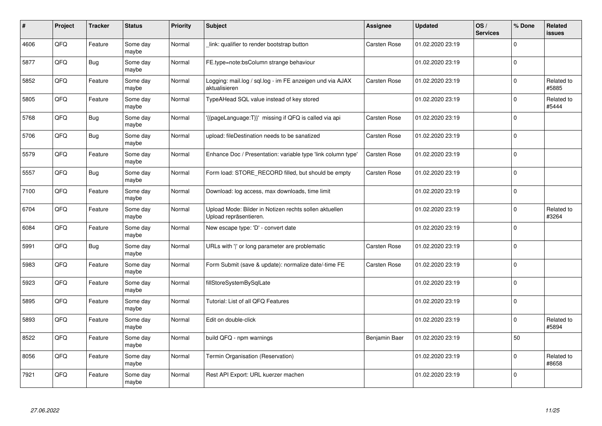| #    | Project | <b>Tracker</b> | <b>Status</b>     | <b>Priority</b> | <b>Subject</b>                                                                   | <b>Assignee</b>     | <b>Updated</b>   | OS/<br><b>Services</b> | % Done      | Related<br>issues   |
|------|---------|----------------|-------------------|-----------------|----------------------------------------------------------------------------------|---------------------|------------------|------------------------|-------------|---------------------|
| 4606 | QFQ     | Feature        | Some day<br>maybe | Normal          | link: qualifier to render bootstrap button                                       | Carsten Rose        | 01.02.2020 23:19 |                        | $\Omega$    |                     |
| 5877 | QFQ     | <b>Bug</b>     | Some day<br>maybe | Normal          | FE.type=note:bsColumn strange behaviour                                          |                     | 01.02.2020 23:19 |                        | $\Omega$    |                     |
| 5852 | QFQ     | Feature        | Some day<br>maybe | Normal          | Logging: mail.log / sql.log - im FE anzeigen und via AJAX<br>aktualisieren       | Carsten Rose        | 01.02.2020 23:19 |                        | $\Omega$    | Related to<br>#5885 |
| 5805 | QFQ     | Feature        | Some day<br>maybe | Normal          | TypeAHead SQL value instead of key stored                                        |                     | 01.02.2020 23:19 |                        | $\Omega$    | Related to<br>#5444 |
| 5768 | QFQ     | <b>Bug</b>     | Some day<br>maybe | Normal          | '{{pageLanguage:T}}' missing if QFQ is called via api                            | <b>Carsten Rose</b> | 01.02.2020 23:19 |                        | $\Omega$    |                     |
| 5706 | QFQ     | <b>Bug</b>     | Some day<br>maybe | Normal          | upload: fileDestination needs to be sanatized                                    | Carsten Rose        | 01.02.2020 23:19 |                        | $\Omega$    |                     |
| 5579 | QFQ     | Feature        | Some day<br>maybe | Normal          | Enhance Doc / Presentation: variable type 'link column type'                     | <b>Carsten Rose</b> | 01.02.2020 23:19 |                        | 0           |                     |
| 5557 | QFQ     | <b>Bug</b>     | Some day<br>maybe | Normal          | Form load: STORE_RECORD filled, but should be empty                              | Carsten Rose        | 01.02.2020 23:19 |                        | $\Omega$    |                     |
| 7100 | QFQ     | Feature        | Some day<br>maybe | Normal          | Download: log access, max downloads, time limit                                  |                     | 01.02.2020 23:19 |                        | $\Omega$    |                     |
| 6704 | QFQ     | Feature        | Some day<br>maybe | Normal          | Upload Mode: Bilder in Notizen rechts sollen aktuellen<br>Upload repräsentieren. |                     | 01.02.2020 23:19 |                        | $\mathbf 0$ | Related to<br>#3264 |
| 6084 | QFQ     | Feature        | Some day<br>maybe | Normal          | New escape type: 'D' - convert date                                              |                     | 01.02.2020 23:19 |                        | $\Omega$    |                     |
| 5991 | QFQ     | Bug            | Some day<br>maybe | Normal          | URLs with ' ' or long parameter are problematic                                  | Carsten Rose        | 01.02.2020 23:19 |                        | $\Omega$    |                     |
| 5983 | QFQ     | Feature        | Some day<br>maybe | Normal          | Form Submit (save & update): normalize date/-time FE                             | Carsten Rose        | 01.02.2020 23:19 |                        | 0           |                     |
| 5923 | QFQ     | Feature        | Some day<br>maybe | Normal          | fillStoreSystemBySqlLate                                                         |                     | 01.02.2020 23:19 |                        | $\Omega$    |                     |
| 5895 | QFQ     | Feature        | Some day<br>maybe | Normal          | Tutorial: List of all QFQ Features                                               |                     | 01.02.2020 23:19 |                        | $\mathbf 0$ |                     |
| 5893 | QFQ     | Feature        | Some day<br>maybe | Normal          | Edit on double-click                                                             |                     | 01.02.2020 23:19 |                        | $\Omega$    | Related to<br>#5894 |
| 8522 | QFQ     | Feature        | Some day<br>maybe | Normal          | build QFQ - npm warnings                                                         | Benjamin Baer       | 01.02.2020 23:19 |                        | 50          |                     |
| 8056 | QFQ     | Feature        | Some day<br>maybe | Normal          | Termin Organisation (Reservation)                                                |                     | 01.02.2020 23:19 |                        | $\mathbf 0$ | Related to<br>#8658 |
| 7921 | QFQ     | Feature        | Some day<br>maybe | Normal          | Rest API Export: URL kuerzer machen                                              |                     | 01.02.2020 23:19 |                        | $\Omega$    |                     |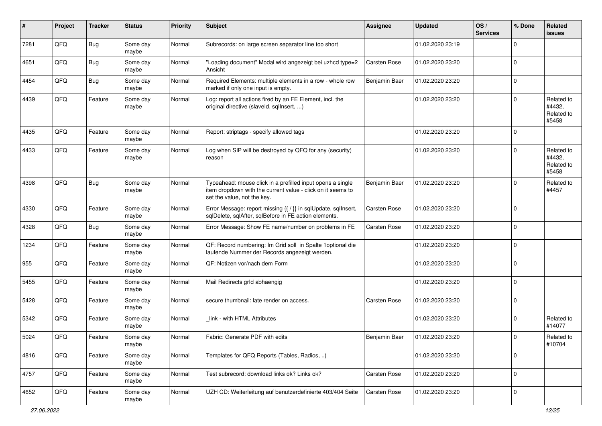| #    | Project | <b>Tracker</b> | <b>Status</b>     | <b>Priority</b> | <b>Subject</b>                                                                                                                                           | <b>Assignee</b>     | <b>Updated</b>   | OS/<br><b>Services</b> | % Done      | Related<br>issues                           |
|------|---------|----------------|-------------------|-----------------|----------------------------------------------------------------------------------------------------------------------------------------------------------|---------------------|------------------|------------------------|-------------|---------------------------------------------|
| 7281 | QFQ     | <b>Bug</b>     | Some day<br>maybe | Normal          | Subrecords: on large screen separator line too short                                                                                                     |                     | 01.02.2020 23:19 |                        | $\Omega$    |                                             |
| 4651 | QFQ     | Bug            | Some day<br>maybe | Normal          | "Loading document" Modal wird angezeigt bei uzhcd type=2<br>Ansicht                                                                                      | <b>Carsten Rose</b> | 01.02.2020 23:20 |                        | 0           |                                             |
| 4454 | QFQ     | <b>Bug</b>     | Some day<br>maybe | Normal          | Required Elements: multiple elements in a row - whole row<br>marked if only one input is empty.                                                          | Benjamin Baer       | 01.02.2020 23:20 |                        | $\Omega$    |                                             |
| 4439 | QFQ     | Feature        | Some day<br>maybe | Normal          | Log: report all actions fired by an FE Element, incl. the<br>original directive (slaveld, sqlInsert, )                                                   |                     | 01.02.2020 23:20 |                        | $\Omega$    | Related to<br>#4432,<br>Related to<br>#5458 |
| 4435 | QFQ     | Feature        | Some day<br>maybe | Normal          | Report: striptags - specify allowed tags                                                                                                                 |                     | 01.02.2020 23:20 |                        | $\Omega$    |                                             |
| 4433 | QFQ     | Feature        | Some day<br>maybe | Normal          | Log when SIP will be destroyed by QFQ for any (security)<br>reason                                                                                       |                     | 01.02.2020 23:20 |                        | $\Omega$    | Related to<br>#4432,<br>Related to<br>#5458 |
| 4398 | QFQ     | Bug            | Some day<br>maybe | Normal          | Typeahead: mouse click in a prefilled input opens a single<br>item dropdown with the current value - click on it seems to<br>set the value, not the key. | Benjamin Baer       | 01.02.2020 23:20 |                        | $\Omega$    | Related to<br>#4457                         |
| 4330 | QFQ     | Feature        | Some day<br>maybe | Normal          | Error Message: report missing {{ / }} in sqlUpdate, sqlInsert,<br>sqlDelete, sqlAfter, sqlBefore in FE action elements.                                  | <b>Carsten Rose</b> | 01.02.2020 23:20 |                        | 0           |                                             |
| 4328 | QFQ     | <b>Bug</b>     | Some day<br>maybe | Normal          | Error Message: Show FE name/number on problems in FE                                                                                                     | Carsten Rose        | 01.02.2020 23:20 |                        | $\Omega$    |                                             |
| 1234 | QFQ     | Feature        | Some day<br>maybe | Normal          | QF: Record numbering: Im Grid soll in Spalte 1 optional die<br>laufende Nummer der Records angezeigt werden.                                             |                     | 01.02.2020 23:20 |                        | $\Omega$    |                                             |
| 955  | QFQ     | Feature        | Some day<br>maybe | Normal          | QF: Notizen vor/nach dem Form                                                                                                                            |                     | 01.02.2020 23:20 |                        | $\Omega$    |                                             |
| 5455 | QFQ     | Feature        | Some day<br>maybe | Normal          | Mail Redirects grld abhaengig                                                                                                                            |                     | 01.02.2020 23:20 |                        | $\Omega$    |                                             |
| 5428 | QFQ     | Feature        | Some day<br>maybe | Normal          | secure thumbnail: late render on access.                                                                                                                 | <b>Carsten Rose</b> | 01.02.2020 23:20 |                        | $\Omega$    |                                             |
| 5342 | QFQ     | Feature        | Some day<br>maybe | Normal          | link - with HTML Attributes                                                                                                                              |                     | 01.02.2020 23:20 |                        | $\Omega$    | Related to<br>#14077                        |
| 5024 | QFQ     | Feature        | Some day<br>maybe | Normal          | Fabric: Generate PDF with edits                                                                                                                          | Benjamin Baer       | 01.02.2020 23:20 |                        | 0 I         | Related to<br>#10704                        |
| 4816 | QFG     | Feature        | Some day<br>maybe | Normal          | Templates for QFQ Reports (Tables, Radios, )                                                                                                             |                     | 01.02.2020 23:20 |                        | $\Omega$    |                                             |
| 4757 | QFG     | Feature        | Some day<br>maybe | Normal          | Test subrecord: download links ok? Links ok?                                                                                                             | Carsten Rose        | 01.02.2020 23:20 |                        | $\mathbf 0$ |                                             |
| 4652 | QFG     | Feature        | Some day<br>maybe | Normal          | UZH CD: Weiterleitung auf benutzerdefinierte 403/404 Seite                                                                                               | Carsten Rose        | 01.02.2020 23:20 |                        | 0           |                                             |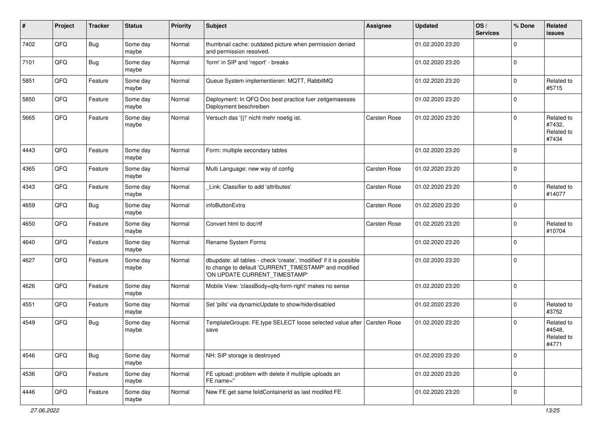| ∦    | Project | <b>Tracker</b> | <b>Status</b>     | <b>Priority</b> | <b>Subject</b>                                                                                                                                                | <b>Assignee</b>     | <b>Updated</b>   | OS/<br><b>Services</b> | % Done      | Related<br>issues                           |
|------|---------|----------------|-------------------|-----------------|---------------------------------------------------------------------------------------------------------------------------------------------------------------|---------------------|------------------|------------------------|-------------|---------------------------------------------|
| 7402 | QFQ     | <b>Bug</b>     | Some day<br>maybe | Normal          | thumbnail cache: outdated picture when permission denied<br>and permission resolved.                                                                          |                     | 01.02.2020 23:20 |                        | $\Omega$    |                                             |
| 7101 | QFQ     | Bug            | Some day<br>maybe | Normal          | 'form' in SIP and 'report' - breaks                                                                                                                           |                     | 01.02.2020 23:20 |                        | $\Omega$    |                                             |
| 5851 | QFQ     | Feature        | Some day<br>maybe | Normal          | Queue System implementieren: MQTT, RabbitMQ                                                                                                                   |                     | 01.02.2020 23:20 |                        | $\Omega$    | Related to<br>#5715                         |
| 5850 | QFQ     | Feature        | Some day<br>maybe | Normal          | Deployment: In QFQ Doc best practice fuer zeitgemaesses<br>Deployment beschreiben                                                                             |                     | 01.02.2020 23:20 |                        | $\Omega$    |                                             |
| 5665 | QFQ     | Feature        | Some day<br>maybe | Normal          | Versuch das '{{!' nicht mehr noetig ist.                                                                                                                      | <b>Carsten Rose</b> | 01.02.2020 23:20 |                        | $\Omega$    | Related to<br>#7432,<br>Related to<br>#7434 |
| 4443 | QFQ     | Feature        | Some day<br>maybe | Normal          | Form: multiple secondary tables                                                                                                                               |                     | 01.02.2020 23:20 |                        | 0 I         |                                             |
| 4365 | QFQ     | Feature        | Some day<br>maybe | Normal          | Multi Language: new way of config                                                                                                                             | <b>Carsten Rose</b> | 01.02.2020 23:20 |                        | $\mathbf 0$ |                                             |
| 4343 | QFQ     | Feature        | Some day<br>maybe | Normal          | Link: Classifier to add 'attributes'                                                                                                                          | <b>Carsten Rose</b> | 01.02.2020 23:20 |                        | $\Omega$    | Related to<br>#14077                        |
| 4659 | QFQ     | <b>Bug</b>     | Some day<br>maybe | Normal          | infoButtonExtra                                                                                                                                               | <b>Carsten Rose</b> | 01.02.2020 23:20 |                        | $\Omega$    |                                             |
| 4650 | QFQ     | Feature        | Some day<br>maybe | Normal          | Convert html to doc/rtf                                                                                                                                       | <b>Carsten Rose</b> | 01.02.2020 23:20 |                        | $\Omega$    | Related to<br>#10704                        |
| 4640 | QFQ     | Feature        | Some day<br>maybe | Normal          | Rename System Forms                                                                                                                                           |                     | 01.02.2020 23:20 |                        | $\Omega$    |                                             |
| 4627 | QFQ     | Feature        | Some day<br>maybe | Normal          | dbupdate: all tables - check 'create', 'modified' if it is possible<br>to change to default 'CURRENT_TIMESTAMP' and modified<br>'ON UPDATE CURRENT_TIMESTAMP' |                     | 01.02.2020 23:20 |                        | $\Omega$    |                                             |
| 4626 | QFQ     | Feature        | Some day<br>maybe | Normal          | Mobile View: 'classBody=qfq-form-right' makes no sense                                                                                                        |                     | 01.02.2020 23:20 |                        | $\Omega$    |                                             |
| 4551 | QFQ     | Feature        | Some day<br>maybe | Normal          | Set 'pills' via dynamicUpdate to show/hide/disabled                                                                                                           |                     | 01.02.2020 23:20 |                        | $\Omega$    | Related to<br>#3752                         |
| 4549 | QFQ     | <b>Bug</b>     | Some day<br>maybe | Normal          | TemplateGroups: FE.type SELECT loose selected value after<br>save                                                                                             | Carsten Rose        | 01.02.2020 23:20 |                        | $\Omega$    | Related to<br>#4548,<br>Related to<br>#4771 |
| 4546 | QFQ     | <b>Bug</b>     | Some day<br>maybe | Normal          | NH: SIP storage is destroyed                                                                                                                                  |                     | 01.02.2020 23:20 |                        | $\mathbf 0$ |                                             |
| 4536 | QFG     | Feature        | Some day<br>maybe | Normal          | FE upload: problem with delete if mutliple uploads an<br>FE.name="                                                                                            |                     | 01.02.2020 23:20 |                        | $\mathbf 0$ |                                             |
| 4446 | QFG     | Feature        | Some day<br>maybe | Normal          | New FE get same feldContainerId as last modifed FE                                                                                                            |                     | 01.02.2020 23:20 |                        | 0           |                                             |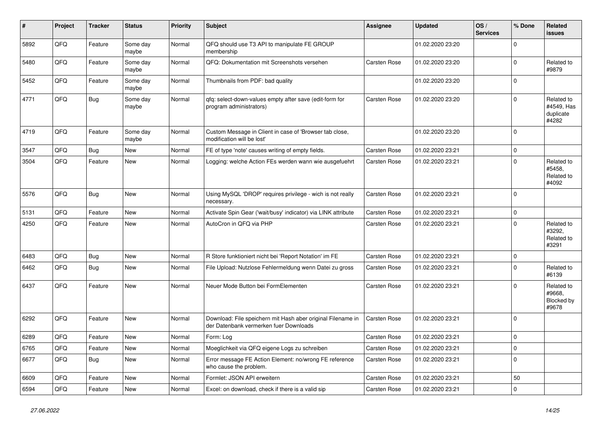| #    | Project | <b>Tracker</b> | <b>Status</b>     | <b>Priority</b> | <b>Subject</b>                                                                                        | Assignee            | <b>Updated</b>   | OS/<br><b>Services</b> | % Done         | Related<br>issues                              |
|------|---------|----------------|-------------------|-----------------|-------------------------------------------------------------------------------------------------------|---------------------|------------------|------------------------|----------------|------------------------------------------------|
| 5892 | QFQ     | Feature        | Some day<br>maybe | Normal          | QFQ should use T3 API to manipulate FE GROUP<br>membership                                            |                     | 01.02.2020 23:20 |                        | $\Omega$       |                                                |
| 5480 | QFQ     | Feature        | Some day<br>maybe | Normal          | QFQ: Dokumentation mit Screenshots versehen                                                           | Carsten Rose        | 01.02.2020 23:20 |                        | $\mathbf 0$    | Related to<br>#9879                            |
| 5452 | QFQ     | Feature        | Some day<br>maybe | Normal          | Thumbnails from PDF: bad quality                                                                      |                     | 01.02.2020 23:20 |                        | $\Omega$       |                                                |
| 4771 | QFQ     | <b>Bug</b>     | Some day<br>maybe | Normal          | qfq: select-down-values empty after save (edit-form for<br>program administrators)                    | <b>Carsten Rose</b> | 01.02.2020 23:20 |                        | $\Omega$       | Related to<br>#4549, Has<br>duplicate<br>#4282 |
| 4719 | QFQ     | Feature        | Some day<br>maybe | Normal          | Custom Message in Client in case of 'Browser tab close,<br>modification will be lost'                 |                     | 01.02.2020 23:20 |                        | $\overline{0}$ |                                                |
| 3547 | QFQ     | Bug            | <b>New</b>        | Normal          | FE of type 'note' causes writing of empty fields.                                                     | Carsten Rose        | 01.02.2020 23:21 |                        | $\mathbf 0$    |                                                |
| 3504 | QFQ     | Feature        | <b>New</b>        | Normal          | Logging: welche Action FEs werden wann wie ausgefuehrt                                                | Carsten Rose        | 01.02.2020 23:21 |                        | 0              | Related to<br>#5458,<br>Related to<br>#4092    |
| 5576 | QFQ     | Bug            | <b>New</b>        | Normal          | Using MySQL 'DROP' requires privilege - wich is not really<br>necessary.                              | Carsten Rose        | 01.02.2020 23:21 |                        | $\overline{0}$ |                                                |
| 5131 | QFQ     | Feature        | New               | Normal          | Activate Spin Gear ('wait/busy' indicator) via LINK attribute                                         | <b>Carsten Rose</b> | 01.02.2020 23:21 |                        | $\mathbf 0$    |                                                |
| 4250 | QFQ     | Feature        | New               | Normal          | AutoCron in QFQ via PHP                                                                               | Carsten Rose        | 01.02.2020 23:21 |                        | $\Omega$       | Related to<br>#3292,<br>Related to<br>#3291    |
| 6483 | QFQ     | <b>Bug</b>     | <b>New</b>        | Normal          | R Store funktioniert nicht bei 'Report Notation' im FE                                                | <b>Carsten Rose</b> | 01.02.2020 23:21 |                        | 0              |                                                |
| 6462 | QFQ     | <b>Bug</b>     | New               | Normal          | File Upload: Nutzlose Fehlermeldung wenn Datei zu gross                                               | Carsten Rose        | 01.02.2020 23:21 |                        | $\Omega$       | Related to<br>#6139                            |
| 6437 | QFQ     | Feature        | New               | Normal          | Neuer Mode Button bei FormElementen                                                                   | Carsten Rose        | 01.02.2020 23:21 |                        | $\Omega$       | Related to<br>#9668,<br>Blocked by<br>#9678    |
| 6292 | QFQ     | Feature        | <b>New</b>        | Normal          | Download: File speichern mit Hash aber original Filename in<br>der Datenbank vermerken fuer Downloads | <b>Carsten Rose</b> | 01.02.2020 23:21 |                        | 0              |                                                |
| 6289 | QFQ     | Feature        | New               | Normal          | Form: Log                                                                                             | <b>Carsten Rose</b> | 01.02.2020 23:21 |                        | $\mathbf 0$    |                                                |
| 6765 | QFQ     | Feature        | New               | Normal          | Moeglichkeit via QFQ eigene Logs zu schreiben                                                         | Carsten Rose        | 01.02.2020 23:21 |                        | $\mathbf 0$    |                                                |
| 6677 | QFQ     | <b>Bug</b>     | New               | Normal          | Error message FE Action Element: no/wrong FE reference<br>who cause the problem.                      | Carsten Rose        | 01.02.2020 23:21 |                        | $\Omega$       |                                                |
| 6609 | QFQ     | Feature        | <b>New</b>        | Normal          | Formlet: JSON API erweitern                                                                           | Carsten Rose        | 01.02.2020 23:21 |                        | 50             |                                                |
| 6594 | QFQ     | Feature        | New               | Normal          | Excel: on download, check if there is a valid sip                                                     | <b>Carsten Rose</b> | 01.02.2020 23:21 |                        | 0              |                                                |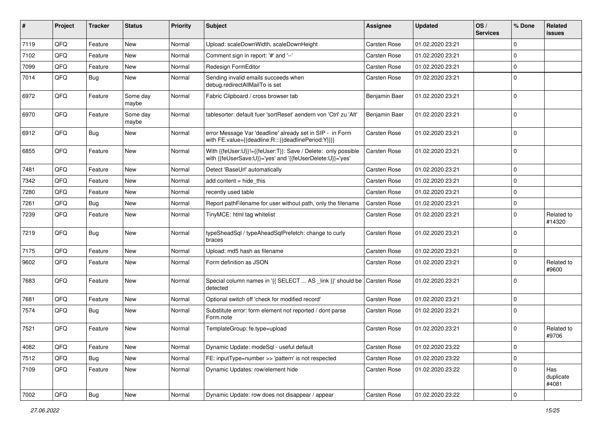| ∦    | Project | <b>Tracker</b> | <b>Status</b>     | <b>Priority</b> | <b>Subject</b>                                                                                                             | <b>Assignee</b>     | <b>Updated</b>   | OS/<br><b>Services</b> | % Done              | Related<br>issues         |
|------|---------|----------------|-------------------|-----------------|----------------------------------------------------------------------------------------------------------------------------|---------------------|------------------|------------------------|---------------------|---------------------------|
| 7119 | QFQ     | Feature        | New               | Normal          | Upload: scaleDownWidth, scaleDownHeight                                                                                    | Carsten Rose        | 01.02.2020 23:21 |                        | $\mathbf 0$         |                           |
| 7102 | QFQ     | Feature        | <b>New</b>        | Normal          | Comment sign in report: '#' and '--'                                                                                       | Carsten Rose        | 01.02.2020 23:21 |                        | $\mathbf 0$         |                           |
| 7099 | QFQ     | Feature        | New               | Normal          | Redesign FormEditor                                                                                                        | Carsten Rose        | 01.02.2020 23:21 |                        | 0                   |                           |
| 7014 | QFQ     | Bug            | New               | Normal          | Sending invalid emails succeeds when<br>debug.redirectAllMailTo is set                                                     | Carsten Rose        | 01.02.2020 23:21 |                        | $\mathbf 0$         |                           |
| 6972 | QFQ     | Feature        | Some day<br>maybe | Normal          | Fabric Clipboard / cross browser tab                                                                                       | Benjamin Baer       | 01.02.2020 23:21 |                        | 0                   |                           |
| 6970 | QFQ     | Feature        | Some day<br>maybe | Normal          | tablesorter: default fuer 'sortReset' aendern von 'Ctrl' zu 'Alt'                                                          | Benjamin Baer       | 01.02.2020 23:21 |                        | $\mathbf 0$         |                           |
| 6912 | QFQ     | <b>Bug</b>     | New               | Normal          | error Message Var 'deadline' already set in SIP - in Form<br>with FE.value={{deadline:R:::{{deadlinePeriod:Y}}}}           | Carsten Rose        | 01.02.2020 23:21 |                        | $\mathbf 0$         |                           |
| 6855 | QFQ     | Feature        | New               | Normal          | With {{feUser:U}}!={{feUser:T}}: Save / Delete: only possible<br>with {{feUserSave:U}}='yes' and '{{feUserDelete:U}}='yes' | Carsten Rose        | 01.02.2020 23:21 |                        | $\mathbf 0$         |                           |
| 7481 | QFQ     | Feature        | New               | Normal          | Detect 'BaseUrl' automatically                                                                                             | <b>Carsten Rose</b> | 01.02.2020 23:21 |                        | $\mathbf 0$         |                           |
| 7342 | QFQ     | Feature        | New               | Normal          | add content = hide_this                                                                                                    | <b>Carsten Rose</b> | 01.02.2020 23:21 |                        | $\mathbf 0$         |                           |
| 7280 | QFQ     | Feature        | New               | Normal          | recently used table                                                                                                        | Carsten Rose        | 01.02.2020 23:21 |                        | $\mathbf 0$         |                           |
| 7261 | QFQ     | Bug            | <b>New</b>        | Normal          | Report pathFilename for user without path, only the filename                                                               | Carsten Rose        | 01.02.2020 23:21 |                        | 0                   |                           |
| 7239 | QFQ     | Feature        | New               | Normal          | TinyMCE: html tag whitelist                                                                                                | Carsten Rose        | 01.02.2020 23:21 |                        | 0                   | Related to<br>#14320      |
| 7219 | QFQ     | <b>Bug</b>     | New               | Normal          | typeSheadSql / typeAheadSqlPrefetch: change to curly<br>braces                                                             | Carsten Rose        | 01.02.2020 23:21 |                        | 0                   |                           |
| 7175 | QFQ     | Feature        | New               | Normal          | Upload: md5 hash as filename                                                                                               | Carsten Rose        | 01.02.2020 23:21 |                        | 0                   |                           |
| 9602 | QFQ     | Feature        | New               | Normal          | Form definition as JSON                                                                                                    | Carsten Rose        | 01.02.2020 23:21 |                        | 0                   | Related to<br>#9600       |
| 7683 | QFQ     | Feature        | New               | Normal          | Special column names in '{{ SELECT  AS _link }}' should be Carsten Rose<br>detected                                        |                     | 01.02.2020 23:21 |                        | $\mathbf 0$         |                           |
| 7681 | QFQ     | Feature        | New               | Normal          | Optional switch off 'check for modified record'                                                                            | Carsten Rose        | 01.02.2020 23:21 |                        | $\mathbf 0$         |                           |
| 7574 | QFQ     | Bug            | New               | Normal          | Substitute error: form element not reported / dont parse<br>Form.note                                                      | Carsten Rose        | 01.02.2020 23:21 |                        | 0                   |                           |
| 7521 | QFQ     | Feature        | New               | Normal          | TemplateGroup: fe.type=upload                                                                                              | Carsten Rose        | 01.02.2020 23:21 |                        | $\mathbf 0$         | Related to<br>#9706       |
| 4082 | QFG     | Feature        | New               | Normal          | Dynamic Update: modeSql - useful default                                                                                   | Carsten Rose        | 01.02.2020 23:22 |                        | $\mathbf 0$         |                           |
| 7512 | QFQ     | Bug            | New               | Normal          | FE: inputType=number >> 'pattern' is not respected                                                                         | Carsten Rose        | 01.02.2020 23:22 |                        | 0                   |                           |
| 7109 | QFQ     | Feature        | New               | Normal          | Dynamic Updates: row/element hide                                                                                          | Carsten Rose        | 01.02.2020 23:22 |                        | 0                   | Has<br>duplicate<br>#4081 |
| 7002 | QFQ     | <b>Bug</b>     | New               | Normal          | Dynamic Update: row does not disappear / appear                                                                            | Carsten Rose        | 01.02.2020 23:22 |                        | $\mathsf{O}\xspace$ |                           |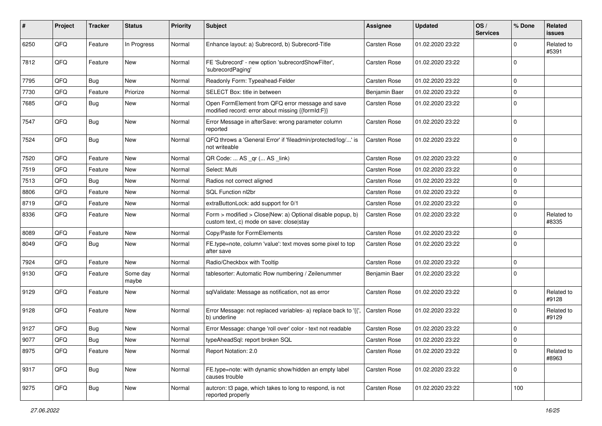| #    | Project | <b>Tracker</b> | <b>Status</b>     | <b>Priority</b> | <b>Subject</b>                                                                                         | <b>Assignee</b>     | <b>Updated</b>   | OS/<br><b>Services</b> | % Done      | Related<br>issues   |
|------|---------|----------------|-------------------|-----------------|--------------------------------------------------------------------------------------------------------|---------------------|------------------|------------------------|-------------|---------------------|
| 6250 | QFQ     | Feature        | In Progress       | Normal          | Enhance layout: a) Subrecord, b) Subrecord-Title                                                       | Carsten Rose        | 01.02.2020 23:22 |                        | 0           | Related to<br>#5391 |
| 7812 | QFQ     | Feature        | New               | Normal          | FE 'Subrecord' - new option 'subrecordShowFilter',<br>'subrecordPaging'                                | Carsten Rose        | 01.02.2020 23:22 |                        | 0           |                     |
| 7795 | QFQ     | <b>Bug</b>     | New               | Normal          | Readonly Form: Typeahead-Felder                                                                        | Carsten Rose        | 01.02.2020 23:22 |                        | $\mathbf 0$ |                     |
| 7730 | QFQ     | Feature        | Priorize          | Normal          | SELECT Box: title in between                                                                           | Benjamin Baer       | 01.02.2020 23:22 |                        | $\mathbf 0$ |                     |
| 7685 | QFQ     | Bug            | New               | Normal          | Open FormElement from QFQ error message and save<br>modified record: error about missing {{formId:F}}  | Carsten Rose        | 01.02.2020 23:22 |                        | $\mathbf 0$ |                     |
| 7547 | QFQ     | Bug            | New               | Normal          | Error Message in afterSave: wrong parameter column<br>reported                                         | Carsten Rose        | 01.02.2020 23:22 |                        | $\mathbf 0$ |                     |
| 7524 | QFQ     | Bug            | New               | Normal          | QFQ throws a 'General Error' if 'fileadmin/protected/log/' is<br>not writeable                         | Carsten Rose        | 01.02.2020 23:22 |                        | $\mathbf 0$ |                     |
| 7520 | QFQ     | Feature        | New               | Normal          | QR Code:  AS _qr ( AS _link)                                                                           | Carsten Rose        | 01.02.2020 23:22 |                        | $\mathbf 0$ |                     |
| 7519 | QFQ     | Feature        | New               | Normal          | Select: Multi                                                                                          | Carsten Rose        | 01.02.2020 23:22 |                        | $\mathbf 0$ |                     |
| 7513 | QFQ     | Bug            | New               | Normal          | Radios not correct aligned                                                                             | <b>Carsten Rose</b> | 01.02.2020 23:22 |                        | $\mathbf 0$ |                     |
| 8806 | QFQ     | Feature        | New               | Normal          | SQL Function nl2br                                                                                     | <b>Carsten Rose</b> | 01.02.2020 23:22 |                        | $\mathbf 0$ |                     |
| 8719 | QFQ     | Feature        | New               | Normal          | extraButtonLock: add support for 0/1                                                                   | Carsten Rose        | 01.02.2020 23:22 |                        | $\mathbf 0$ |                     |
| 8336 | QFQ     | Feature        | New               | Normal          | Form > modified > Close New: a) Optional disable popup, b)<br>custom text, c) mode on save: close stay | Carsten Rose        | 01.02.2020 23:22 |                        | $\Omega$    | Related to<br>#8335 |
| 8089 | QFQ     | Feature        | New               | Normal          | Copy/Paste for FormElements                                                                            | Carsten Rose        | 01.02.2020 23:22 |                        | $\mathbf 0$ |                     |
| 8049 | QFQ     | Bug            | New               | Normal          | FE.type=note, column 'value': text moves some pixel to top<br>after save                               | Carsten Rose        | 01.02.2020 23:22 |                        | $\Omega$    |                     |
| 7924 | QFQ     | Feature        | New               | Normal          | Radio/Checkbox with Tooltip                                                                            | Carsten Rose        | 01.02.2020 23:22 |                        | $\mathbf 0$ |                     |
| 9130 | QFQ     | Feature        | Some day<br>maybe | Normal          | tablesorter: Automatic Row numbering / Zeilenummer                                                     | Benjamin Baer       | 01.02.2020 23:22 |                        | $\mathbf 0$ |                     |
| 9129 | QFQ     | Feature        | New               | Normal          | sqlValidate: Message as notification, not as error                                                     | Carsten Rose        | 01.02.2020 23:22 |                        | 0           | Related to<br>#9128 |
| 9128 | QFQ     | Feature        | New               | Normal          | Error Message: not replaced variables- a) replace back to '{',<br>b) underline                         | <b>Carsten Rose</b> | 01.02.2020 23:22 |                        | 0           | Related to<br>#9129 |
| 9127 | QFQ     | <b>Bug</b>     | New               | Normal          | Error Message: change 'roll over' color - text not readable                                            | Carsten Rose        | 01.02.2020 23:22 |                        | $\mathbf 0$ |                     |
| 9077 | QFG     | Bug            | New               | Normal          | typeAheadSql: report broken SQL                                                                        | Carsten Rose        | 01.02.2020 23:22 |                        | 0           |                     |
| 8975 | QFQ     | Feature        | New               | Normal          | Report Notation: 2.0                                                                                   | Carsten Rose        | 01.02.2020 23:22 |                        | 0           | Related to<br>#8963 |
| 9317 | QFQ     | <b>Bug</b>     | New               | Normal          | FE.type=note: with dynamic show/hidden an empty label<br>causes trouble                                | Carsten Rose        | 01.02.2020 23:22 |                        | 0           |                     |
| 9275 | QFQ     | <b>Bug</b>     | New               | Normal          | autcron: t3 page, which takes to long to respond, is not<br>reported properly                          | Carsten Rose        | 01.02.2020 23:22 |                        | 100         |                     |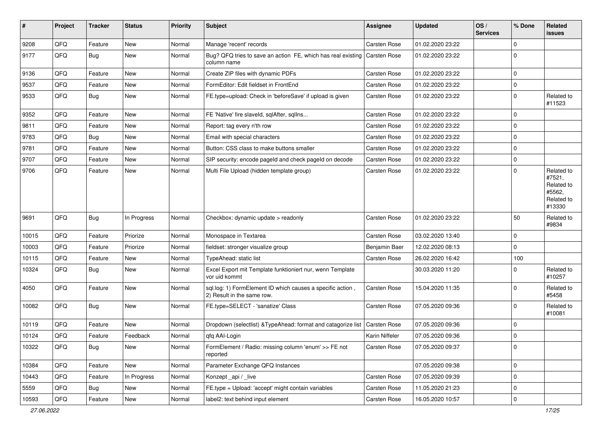| #     | Project | <b>Tracker</b> | <b>Status</b> | <b>Priority</b> | Subject                                                                                  | <b>Assignee</b>     | <b>Updated</b>   | OS/<br><b>Services</b> | % Done      | Related<br>issues                                                    |
|-------|---------|----------------|---------------|-----------------|------------------------------------------------------------------------------------------|---------------------|------------------|------------------------|-------------|----------------------------------------------------------------------|
| 9208  | QFQ     | Feature        | New           | Normal          | Manage 'recent' records                                                                  | Carsten Rose        | 01.02.2020 23:22 |                        | 0           |                                                                      |
| 9177  | QFQ     | Bug            | New           | Normal          | Bug? QFQ tries to save an action FE, which has real existing Carsten Rose<br>column name |                     | 01.02.2020 23:22 |                        | $\mathbf 0$ |                                                                      |
| 9136  | QFQ     | Feature        | New           | Normal          | Create ZIP files with dynamic PDFs                                                       | <b>Carsten Rose</b> | 01.02.2020 23:22 |                        | 0           |                                                                      |
| 9537  | QFQ     | Feature        | New           | Normal          | FormEditor: Edit fieldset in FrontEnd                                                    | Carsten Rose        | 01.02.2020 23:22 |                        | 0           |                                                                      |
| 9533  | QFQ     | Bug            | New           | Normal          | FE.type=upload: Check in 'beforeSave' if upload is given                                 | Carsten Rose        | 01.02.2020 23:22 |                        | 0           | Related to<br>#11523                                                 |
| 9352  | QFQ     | Feature        | New           | Normal          | FE 'Native' fire slaveld, sqlAfter, sqlIns                                               | <b>Carsten Rose</b> | 01.02.2020 23:22 |                        | 0           |                                                                      |
| 9811  | QFQ     | Feature        | New           | Normal          | Report: tag every n'th row                                                               | Carsten Rose        | 01.02.2020 23:22 |                        | 0           |                                                                      |
| 9783  | QFQ     | Bug            | New           | Normal          | Email with special characters                                                            | <b>Carsten Rose</b> | 01.02.2020 23:22 |                        | $\mathbf 0$ |                                                                      |
| 9781  | QFQ     | Feature        | New           | Normal          | Button: CSS class to make buttons smaller                                                | <b>Carsten Rose</b> | 01.02.2020 23:22 |                        | 0           |                                                                      |
| 9707  | QFQ     | Feature        | New           | Normal          | SIP security: encode pageld and check pageld on decode                                   | <b>Carsten Rose</b> | 01.02.2020 23:22 |                        | 0           |                                                                      |
| 9706  | QFQ     | Feature        | New           | Normal          | Multi File Upload (hidden template group)                                                | Carsten Rose        | 01.02.2020 23:22 |                        | 0           | Related to<br>#7521,<br>Related to<br>#5562,<br>Related to<br>#13330 |
| 9691  | QFQ     | Bug            | In Progress   | Normal          | Checkbox: dynamic update > readonly                                                      | <b>Carsten Rose</b> | 01.02.2020 23:22 |                        | 50          | Related to<br>#9834                                                  |
| 10015 | QFQ     | Feature        | Priorize      | Normal          | Monospace in Textarea                                                                    | Carsten Rose        | 03.02.2020 13:40 |                        | $\mathbf 0$ |                                                                      |
| 10003 | QFQ     | Feature        | Priorize      | Normal          | fieldset: stronger visualize group                                                       | Benjamin Baer       | 12.02.2020 08:13 |                        | $\mathbf 0$ |                                                                      |
| 10115 | QFQ     | Feature        | New           | Normal          | TypeAhead: static list                                                                   | Carsten Rose        | 26.02.2020 16:42 |                        | 100         |                                                                      |
| 10324 | QFQ     | Bug            | New           | Normal          | Excel Export mit Template funktioniert nur, wenn Template<br>vor uid kommt               |                     | 30.03.2020 11:20 |                        | 0           | Related to<br>#10257                                                 |
| 4050  | QFQ     | Feature        | New           | Normal          | sql.log: 1) FormElement ID which causes a specific action,<br>2) Result in the same row. | Carsten Rose        | 15.04.2020 11:35 |                        | $\mathbf 0$ | Related to<br>#5458                                                  |
| 10082 | QFQ     | <b>Bug</b>     | New           | Normal          | FE.type=SELECT - 'sanatize' Class                                                        | <b>Carsten Rose</b> | 07.05.2020 09:36 |                        | $\mathbf 0$ | Related to<br>#10081                                                 |
| 10119 | QFQ     | Feature        | New           | Normal          | Dropdown (selectlist) & Type Ahead: format and catagorize list                           | <b>Carsten Rose</b> | 07.05.2020 09:36 |                        | 0           |                                                                      |
| 10124 | QFQ     | Feature        | Feedback      | Normal          | qfq AAI-Login                                                                            | Karin Niffeler      | 07.05.2020 09:36 |                        | 0           |                                                                      |
| 10322 | QFQ     | <b>Bug</b>     | New           | Normal          | FormElement / Radio: missing column 'enum' >> FE not<br>reported                         | Carsten Rose        | 07.05.2020 09:37 |                        | $\mathbf 0$ |                                                                      |
| 10384 | QFQ     | Feature        | New           | Normal          | Parameter Exchange QFQ Instances                                                         |                     | 07.05.2020 09:38 |                        | 0           |                                                                      |
| 10443 | QFQ     | Feature        | In Progress   | Normal          | Konzept_api / _live                                                                      | Carsten Rose        | 07.05.2020 09:39 |                        | 0           |                                                                      |
| 5559  | QFQ     | <b>Bug</b>     | New           | Normal          | FE.type = Upload: 'accept' might contain variables                                       | Carsten Rose        | 11.05.2020 21:23 |                        | 0           |                                                                      |
| 10593 | QFG     | Feature        | New           | Normal          | label2: text behind input element                                                        | Carsten Rose        | 16.05.2020 10:57 |                        | $\mathbf 0$ |                                                                      |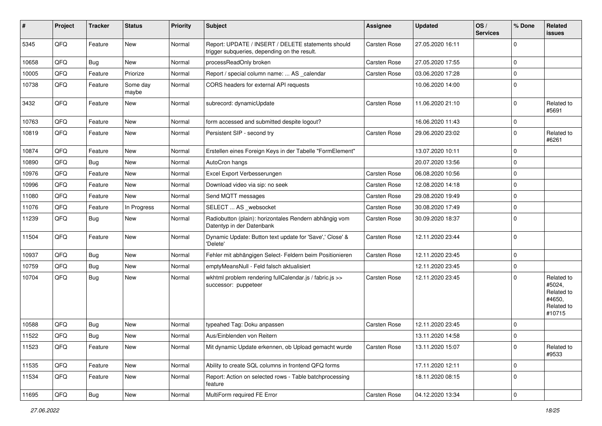| #     | Project | <b>Tracker</b> | <b>Status</b>     | <b>Priority</b> | <b>Subject</b>                                                                                     | Assignee            | <b>Updated</b>   | OS/<br><b>Services</b> | % Done              | Related<br>issues                                                    |
|-------|---------|----------------|-------------------|-----------------|----------------------------------------------------------------------------------------------------|---------------------|------------------|------------------------|---------------------|----------------------------------------------------------------------|
| 5345  | QFQ     | Feature        | <b>New</b>        | Normal          | Report: UPDATE / INSERT / DELETE statements should<br>trigger subqueries, depending on the result. | <b>Carsten Rose</b> | 27.05.2020 16:11 |                        | $\mathbf 0$         |                                                                      |
| 10658 | QFQ     | Bug            | <b>New</b>        | Normal          | processReadOnly broken                                                                             | <b>Carsten Rose</b> | 27.05.2020 17:55 |                        | $\mathbf 0$         |                                                                      |
| 10005 | QFQ     | Feature        | Priorize          | Normal          | Report / special column name:  AS _calendar                                                        | <b>Carsten Rose</b> | 03.06.2020 17:28 |                        | $\mathbf 0$         |                                                                      |
| 10738 | QFQ     | Feature        | Some day<br>maybe | Normal          | CORS headers for external API requests                                                             |                     | 10.06.2020 14:00 |                        | $\Omega$            |                                                                      |
| 3432  | QFQ     | Feature        | <b>New</b>        | Normal          | subrecord: dynamicUpdate                                                                           | <b>Carsten Rose</b> | 11.06.2020 21:10 |                        | $\Omega$            | Related to<br>#5691                                                  |
| 10763 | QFQ     | Feature        | <b>New</b>        | Normal          | form accessed and submitted despite logout?                                                        |                     | 16.06.2020 11:43 |                        | $\mathbf 0$         |                                                                      |
| 10819 | QFQ     | Feature        | <b>New</b>        | Normal          | Persistent SIP - second try                                                                        | Carsten Rose        | 29.06.2020 23:02 |                        | $\mathbf 0$         | Related to<br>#6261                                                  |
| 10874 | QFQ     | Feature        | <b>New</b>        | Normal          | Erstellen eines Foreign Keys in der Tabelle "FormElement"                                          |                     | 13.07.2020 10:11 |                        | $\mathbf 0$         |                                                                      |
| 10890 | QFQ     | Bug            | New               | Normal          | AutoCron hangs                                                                                     |                     | 20.07.2020 13:56 |                        | $\mathbf 0$         |                                                                      |
| 10976 | QFQ     | Feature        | New               | Normal          | Excel Export Verbesserungen                                                                        | Carsten Rose        | 06.08.2020 10:56 |                        | $\mathbf 0$         |                                                                      |
| 10996 | QFQ     | Feature        | <b>New</b>        | Normal          | Download video via sip: no seek                                                                    | <b>Carsten Rose</b> | 12.08.2020 14:18 |                        | $\mathbf 0$         |                                                                      |
| 11080 | QFQ     | Feature        | <b>New</b>        | Normal          | Send MQTT messages                                                                                 | Carsten Rose        | 29.08.2020 19:49 |                        | $\mathbf 0$         |                                                                      |
| 11076 | QFQ     | Feature        | In Progress       | Normal          | SELECT  AS _websocket                                                                              | <b>Carsten Rose</b> | 30.08.2020 17:49 |                        | $\mathbf 0$         |                                                                      |
| 11239 | QFQ     | <b>Bug</b>     | <b>New</b>        | Normal          | Radiobutton (plain): horizontales Rendern abhängig vom<br>Datentyp in der Datenbank                | Carsten Rose        | 30.09.2020 18:37 |                        | $\Omega$            |                                                                      |
| 11504 | QFQ     | Feature        | <b>New</b>        | Normal          | Dynamic Update: Button text update for 'Save',' Close' &<br>'Delete'                               | Carsten Rose        | 12.11.2020 23:44 |                        | $\mathbf 0$         |                                                                      |
| 10937 | QFQ     | Bug            | <b>New</b>        | Normal          | Fehler mit abhängigen Select- Feldern beim Positionieren                                           | Carsten Rose        | 12.11.2020 23:45 |                        | $\mathbf 0$         |                                                                      |
| 10759 | QFQ     | <b>Bug</b>     | <b>New</b>        | Normal          | emptyMeansNull - Feld falsch aktualisiert                                                          |                     | 12.11.2020 23:45 |                        | $\mathbf 0$         |                                                                      |
| 10704 | QFQ     | Bug            | New               | Normal          | wkhtml problem rendering fullCalendar.js / fabric.js >><br>successor: puppeteer                    | Carsten Rose        | 12.11.2020 23:45 |                        | $\Omega$            | Related to<br>#5024,<br>Related to<br>#4650,<br>Related to<br>#10715 |
| 10588 | QFQ     | <b>Bug</b>     | <b>New</b>        | Normal          | typeahed Tag: Doku anpassen                                                                        | Carsten Rose        | 12.11.2020 23:45 |                        | $\mathbf 0$         |                                                                      |
| 11522 | QFQ     | <b>Bug</b>     | New               | Normal          | Aus/Einblenden von Reitern                                                                         |                     | 13.11.2020 14:58 |                        | $\mathbf 0$         |                                                                      |
| 11523 | QFQ     | Feature        | New               | Normal          | Mit dynamic Update erkennen, ob Upload gemacht wurde                                               | Carsten Rose        | 13.11.2020 15:07 |                        | $\mathbf 0$         | Related to<br>#9533                                                  |
| 11535 | QFQ     | Feature        | New               | Normal          | Ability to create SQL columns in frontend QFQ forms                                                |                     | 17.11.2020 12:11 |                        | $\mathbf 0$         |                                                                      |
| 11534 | QFQ     | Feature        | New               | Normal          | Report: Action on selected rows - Table batchprocessing<br>feature                                 |                     | 18.11.2020 08:15 |                        | $\mathbf 0$         |                                                                      |
| 11695 | QFG     | <b>Bug</b>     | New               | Normal          | MultiForm required FE Error                                                                        | Carsten Rose        | 04.12.2020 13:34 |                        | $\mathsf{O}\xspace$ |                                                                      |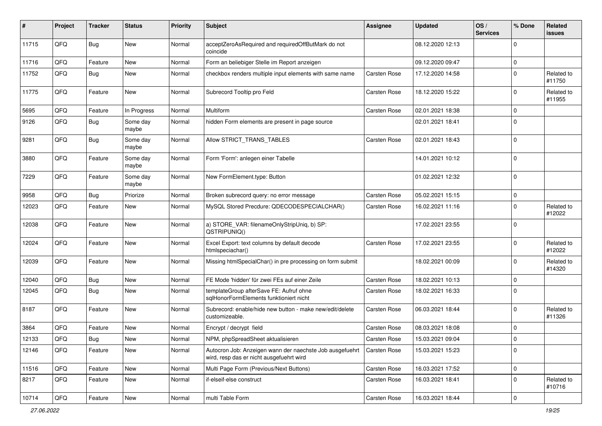| #     | Project | <b>Tracker</b> | <b>Status</b>     | <b>Priority</b> | <b>Subject</b>                                                                                       | <b>Assignee</b>     | <b>Updated</b>   | OS/<br><b>Services</b> | % Done      | Related<br>issues    |
|-------|---------|----------------|-------------------|-----------------|------------------------------------------------------------------------------------------------------|---------------------|------------------|------------------------|-------------|----------------------|
| 11715 | QFQ     | <b>Bug</b>     | New               | Normal          | acceptZeroAsRequired and requiredOffButMark do not<br>coincide                                       |                     | 08.12.2020 12:13 |                        | $\Omega$    |                      |
| 11716 | QFQ     | Feature        | New               | Normal          | Form an beliebiger Stelle im Report anzeigen                                                         |                     | 09.12.2020 09:47 |                        | 0           |                      |
| 11752 | QFQ     | Bug            | New               | Normal          | checkbox renders multiple input elements with same name                                              | Carsten Rose        | 17.12.2020 14:58 |                        | $\Omega$    | Related to<br>#11750 |
| 11775 | QFQ     | Feature        | New               | Normal          | Subrecord Tooltip pro Feld                                                                           | Carsten Rose        | 18.12.2020 15:22 |                        | $\Omega$    | Related to<br>#11955 |
| 5695  | QFQ     | Feature        | In Progress       | Normal          | Multiform                                                                                            | <b>Carsten Rose</b> | 02.01.2021 18:38 |                        | $\Omega$    |                      |
| 9126  | QFQ     | Bug            | Some day<br>maybe | Normal          | hidden Form elements are present in page source                                                      |                     | 02.01.2021 18:41 |                        | 0           |                      |
| 9281  | QFQ     | <b>Bug</b>     | Some day<br>maybe | Normal          | Allow STRICT_TRANS_TABLES                                                                            | Carsten Rose        | 02.01.2021 18:43 |                        | $\mathbf 0$ |                      |
| 3880  | QFQ     | Feature        | Some day<br>maybe | Normal          | Form 'Form': anlegen einer Tabelle                                                                   |                     | 14.01.2021 10:12 |                        | $\Omega$    |                      |
| 7229  | QFQ     | Feature        | Some day<br>maybe | Normal          | New FormElement.type: Button                                                                         |                     | 01.02.2021 12:32 |                        | $\Omega$    |                      |
| 9958  | QFQ     | Bug            | Priorize          | Normal          | Broken subrecord query: no error message                                                             | <b>Carsten Rose</b> | 05.02.2021 15:15 |                        | $\mathbf 0$ |                      |
| 12023 | QFQ     | Feature        | New               | Normal          | MySQL Stored Precdure: QDECODESPECIALCHAR()                                                          | Carsten Rose        | 16.02.2021 11:16 |                        | $\Omega$    | Related to<br>#12022 |
| 12038 | QFQ     | Feature        | New               | Normal          | a) STORE_VAR: filenameOnlyStripUniq, b) SP:<br>QSTRIPUNIQ()                                          |                     | 17.02.2021 23:55 |                        | $\mathbf 0$ |                      |
| 12024 | QFQ     | Feature        | New               | Normal          | Excel Export: text columns by default decode<br>htmlspeciachar()                                     | <b>Carsten Rose</b> | 17.02.2021 23:55 |                        | $\Omega$    | Related to<br>#12022 |
| 12039 | QFQ     | Feature        | <b>New</b>        | Normal          | Missing htmlSpecialChar() in pre processing on form submit                                           |                     | 18.02.2021 00:09 |                        | $\Omega$    | Related to<br>#14320 |
| 12040 | QFQ     | Bug            | New               | Normal          | FE Mode 'hidden' für zwei FEs auf einer Zeile                                                        | <b>Carsten Rose</b> | 18.02.2021 10:13 |                        | $\mathbf 0$ |                      |
| 12045 | QFQ     | Bug            | New               | Normal          | templateGroup afterSave FE: Aufruf ohne<br>sglHonorFormElements funktioniert nicht                   | Carsten Rose        | 18.02.2021 16:33 |                        | $\Omega$    |                      |
| 8187  | QFQ     | Feature        | New               | Normal          | Subrecord: enable/hide new button - make new/edit/delete<br>customizeable.                           | <b>Carsten Rose</b> | 06.03.2021 18:44 |                        | $\Omega$    | Related to<br>#11326 |
| 3864  | QFQ     | Feature        | New               | Normal          | Encrypt / decrypt field                                                                              | <b>Carsten Rose</b> | 08.03.2021 18:08 |                        | $\Omega$    |                      |
| 12133 | QFQ     | Bug            | New               | Normal          | NPM, phpSpreadSheet aktualisieren                                                                    | <b>Carsten Rose</b> | 15.03.2021 09:04 |                        | l O         |                      |
| 12146 | QFQ     | Feature        | New               | Normal          | Autocron Job: Anzeigen wann der naechste Job ausgefuehrt<br>wird, resp das er nicht ausgefuehrt wird | Carsten Rose        | 15.03.2021 15:23 |                        | 0           |                      |
| 11516 | QFQ     | Feature        | New               | Normal          | Multi Page Form (Previous/Next Buttons)                                                              | Carsten Rose        | 16.03.2021 17:52 |                        | 0           |                      |
| 8217  | QFQ     | Feature        | New               | Normal          | if-elseif-else construct                                                                             | Carsten Rose        | 16.03.2021 18:41 |                        | $\mathbf 0$ | Related to<br>#10716 |
| 10714 | QFG     | Feature        | New               | Normal          | multi Table Form                                                                                     | Carsten Rose        | 16.03.2021 18:44 |                        | $\mathbf 0$ |                      |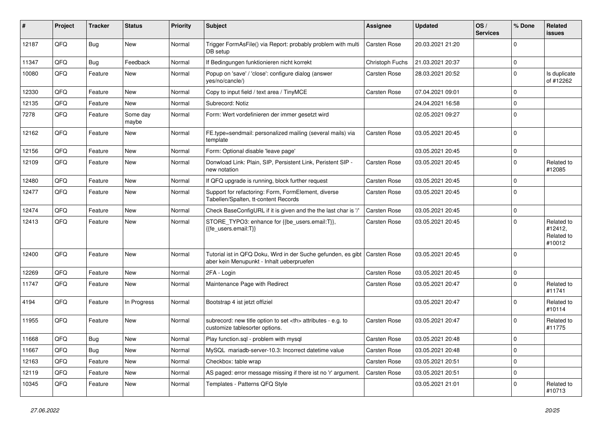| #     | Project | <b>Tracker</b> | <b>Status</b>     | <b>Priority</b> | <b>Subject</b>                                                                                             | <b>Assignee</b>                                        | <b>Updated</b>   | OS/<br><b>Services</b> | % Done      | Related<br>issues                             |                      |
|-------|---------|----------------|-------------------|-----------------|------------------------------------------------------------------------------------------------------------|--------------------------------------------------------|------------------|------------------------|-------------|-----------------------------------------------|----------------------|
| 12187 | QFQ     | Bug            | New               | Normal          | Trigger FormAsFile() via Report: probably problem with multi<br>DB setup                                   | <b>Carsten Rose</b>                                    | 20.03.2021 21:20 |                        | $\Omega$    |                                               |                      |
| 11347 | QFQ     | <b>Bug</b>     | Feedback          | Normal          | If Bedingungen funktionieren nicht korrekt                                                                 | Christoph Fuchs                                        | 21.03.2021 20:37 |                        | $\mathbf 0$ |                                               |                      |
| 10080 | QFQ     | Feature        | New               | Normal          | Popup on 'save' / 'close': configure dialog (answer<br>yes/no/cancle/)                                     | Carsten Rose                                           | 28.03.2021 20:52 |                        | $\Omega$    | Is duplicate<br>of #12262                     |                      |
| 12330 | QFQ     | Feature        | New               | Normal          | Copy to input field / text area / TinyMCE                                                                  | Carsten Rose                                           | 07.04.2021 09:01 |                        | $\mathbf 0$ |                                               |                      |
| 12135 | QFQ     | Feature        | New               | Normal          | Subrecord: Notiz                                                                                           |                                                        | 24.04.2021 16:58 |                        | $\mathbf 0$ |                                               |                      |
| 7278  | QFQ     | Feature        | Some day<br>maybe | Normal          | Form: Wert vordefinieren der immer gesetzt wird                                                            |                                                        | 02.05.2021 09:27 |                        | $\Omega$    |                                               |                      |
| 12162 | QFQ     | Feature        | New               | Normal          | FE.type=sendmail: personalized mailing (several mails) via<br>template                                     | Carsten Rose                                           | 03.05.2021 20:45 |                        | $\Omega$    |                                               |                      |
| 12156 | QFQ     | Feature        | New               | Normal          | Form: Optional disable 'leave page'                                                                        |                                                        | 03.05.2021 20:45 |                        | $\mathbf 0$ |                                               |                      |
| 12109 | QFQ     | Feature        | New               | Normal          | Donwload Link: Plain, SIP, Persistent Link, Peristent SIP -<br>new notation                                | <b>Carsten Rose</b>                                    | 03.05.2021 20:45 |                        | $\Omega$    | Related to<br>#12085                          |                      |
| 12480 | QFQ     | Feature        | New               | Normal          | If QFQ upgrade is running, block further request                                                           | Carsten Rose                                           | 03.05.2021 20:45 |                        | $\Omega$    |                                               |                      |
| 12477 | QFQ     | Feature        | New               | Normal          | Support for refactoring: Form, FormElement, diverse<br>Tabellen/Spalten, tt-content Records                | Carsten Rose                                           | 03.05.2021 20:45 |                        | $\Omega$    |                                               |                      |
| 12474 | QFQ     | Feature        | New               | Normal          | Check BaseConfigURL if it is given and the the last char is '/'                                            | <b>Carsten Rose</b>                                    | 03.05.2021 20:45 |                        | $\mathbf 0$ |                                               |                      |
| 12413 | QFQ     | Feature        | New               | Normal          | STORE_TYPO3: enhance for {{be_users.email:T}},<br>{{fe_users.email:T}}                                     | Carsten Rose                                           | 03.05.2021 20:45 |                        | $\Omega$    | Related to<br>#12412,<br>Related to<br>#10012 |                      |
| 12400 | QFQ     | Feature        | New               | Normal          | Tutorial ist in QFQ Doku, Wird in der Suche gefunden, es gibt<br>aber kein Menupunkt - Inhalt ueberpruefen | <b>Carsten Rose</b>                                    | 03.05.2021 20:45 |                        | $\Omega$    |                                               |                      |
| 12269 | QFQ     | Feature        | New               | Normal          | 2FA - Login                                                                                                | <b>Carsten Rose</b>                                    | 03.05.2021 20:45 |                        | l 0         |                                               |                      |
| 11747 | QFQ     | Feature        | New               | Normal          | Maintenance Page with Redirect                                                                             | Carsten Rose                                           | 03.05.2021 20:47 |                        | $\Omega$    | Related to<br>#11741                          |                      |
| 4194  | QFQ     | Feature        | In Progress       | Normal          | Bootstrap 4 ist jetzt offiziel                                                                             |                                                        | 03.05.2021 20:47 |                        | $\Omega$    | Related to<br>#10114                          |                      |
| 11955 | QFQ     | Feature        | New               | Normal          | subrecord: new title option to set <th> attributes - e.g. to<br/>customize tablesorter options.</th>       | attributes - e.g. to<br>customize tablesorter options. | Carsten Rose     | 03.05.2021 20:47       |             | $\Omega$                                      | Related to<br>#11775 |
| 11668 | QFQ     | Bug            | New               | Normal          | Play function.sql - problem with mysql                                                                     | <b>Carsten Rose</b>                                    | 03.05.2021 20:48 |                        | I٥          |                                               |                      |
| 11667 | QFQ     | Bug            | New               | Normal          | MySQL mariadb-server-10.3: Incorrect datetime value                                                        | Carsten Rose                                           | 03.05.2021 20:48 |                        | 0           |                                               |                      |
| 12163 | QFQ     | Feature        | New               | Normal          | Checkbox: table wrap                                                                                       | Carsten Rose                                           | 03.05.2021 20:51 |                        | $\mathbf 0$ |                                               |                      |
| 12119 | QFQ     | Feature        | New               | Normal          | AS paged: error message missing if there ist no 'r' argument.                                              | Carsten Rose                                           | 03.05.2021 20:51 |                        | 0           |                                               |                      |
| 10345 | QFQ     | Feature        | New               | Normal          | Templates - Patterns QFQ Style                                                                             |                                                        | 03.05.2021 21:01 |                        | 0           | Related to<br>#10713                          |                      |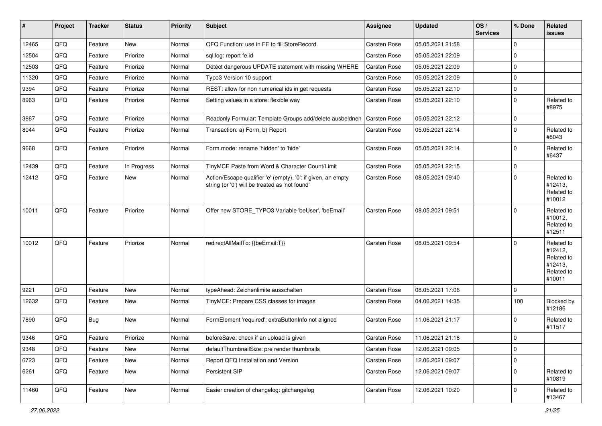| #     | Project | <b>Tracker</b> | <b>Status</b> | <b>Priority</b> | <b>Subject</b>                                                                                                 | <b>Assignee</b>     | <b>Updated</b>   | OS/<br><b>Services</b> | % Done         | Related<br><b>issues</b>                                               |
|-------|---------|----------------|---------------|-----------------|----------------------------------------------------------------------------------------------------------------|---------------------|------------------|------------------------|----------------|------------------------------------------------------------------------|
| 12465 | QFQ     | Feature        | <b>New</b>    | Normal          | QFQ Function: use in FE to fill StoreRecord                                                                    | <b>Carsten Rose</b> | 05.05.2021 21:58 |                        | $\Omega$       |                                                                        |
| 12504 | QFQ     | Feature        | Priorize      | Normal          | sql.log: report fe.id                                                                                          | <b>Carsten Rose</b> | 05.05.2021 22:09 |                        | 0              |                                                                        |
| 12503 | QFQ     | Feature        | Priorize      | Normal          | Detect dangerous UPDATE statement with missing WHERE                                                           | <b>Carsten Rose</b> | 05.05.2021 22:09 |                        | $\Omega$       |                                                                        |
| 11320 | QFQ     | Feature        | Priorize      | Normal          | Typo3 Version 10 support                                                                                       | <b>Carsten Rose</b> | 05.05.2021 22:09 |                        | $\Omega$       |                                                                        |
| 9394  | QFQ     | Feature        | Priorize      | Normal          | REST: allow for non numerical ids in get requests                                                              | <b>Carsten Rose</b> | 05.05.2021 22:10 |                        | $\mathbf 0$    |                                                                        |
| 8963  | QFQ     | Feature        | Priorize      | Normal          | Setting values in a store: flexible way                                                                        | Carsten Rose        | 05.05.2021 22:10 |                        | $\mathbf 0$    | Related to<br>#8975                                                    |
| 3867  | QFQ     | Feature        | Priorize      | Normal          | Readonly Formular: Template Groups add/delete ausbeldnen                                                       | <b>Carsten Rose</b> | 05.05.2021 22:12 |                        | $\Omega$       |                                                                        |
| 8044  | QFQ     | Feature        | Priorize      | Normal          | Transaction: a) Form, b) Report                                                                                | Carsten Rose        | 05.05.2021 22:14 |                        | $\mathbf 0$    | Related to<br>#8043                                                    |
| 9668  | QFQ     | Feature        | Priorize      | Normal          | Form.mode: rename 'hidden' to 'hide'                                                                           | <b>Carsten Rose</b> | 05.05.2021 22:14 |                        | $\Omega$       | Related to<br>#6437                                                    |
| 12439 | QFQ     | Feature        | In Progress   | Normal          | TinyMCE Paste from Word & Character Count/Limit                                                                | <b>Carsten Rose</b> | 05.05.2021 22:15 |                        | $\mathbf 0$    |                                                                        |
| 12412 | QFQ     | Feature        | New           | Normal          | Action/Escape qualifier 'e' (empty), '0': if given, an empty<br>string (or '0') will be treated as 'not found' | <b>Carsten Rose</b> | 08.05.2021 09:40 |                        | $\mathbf 0$    | Related to<br>#12413,<br>Related to<br>#10012                          |
| 10011 | QFQ     | Feature        | Priorize      | Normal          | Offer new STORE TYPO3 Variable 'beUser', 'beEmail'                                                             | Carsten Rose        | 08.05.2021 09:51 |                        | $\Omega$       | Related to<br>#10012,<br>Related to<br>#12511                          |
| 10012 | QFQ     | Feature        | Priorize      | Normal          | redirectAllMailTo: {{beEmail:T}}                                                                               | <b>Carsten Rose</b> | 08.05.2021 09:54 |                        | $\Omega$       | Related to<br>#12412,<br>Related to<br>#12413,<br>Related to<br>#10011 |
| 9221  | QFQ     | Feature        | <b>New</b>    | Normal          | typeAhead: Zeichenlimite ausschalten                                                                           | <b>Carsten Rose</b> | 08.05.2021 17:06 |                        | $\Omega$       |                                                                        |
| 12632 | QFQ     | Feature        | <b>New</b>    | Normal          | TinyMCE: Prepare CSS classes for images                                                                        | Carsten Rose        | 04.06.2021 14:35 |                        | 100            | Blocked by<br>#12186                                                   |
| 7890  | QFQ     | Bug            | New           | Normal          | FormElement 'required': extraButtonInfo not aligned                                                            | <b>Carsten Rose</b> | 11.06.2021 21:17 |                        | $\Omega$       | Related to<br>#11517                                                   |
| 9346  | QFQ     | Feature        | Priorize      | Normal          | beforeSave: check if an upload is given                                                                        | <b>Carsten Rose</b> | 11.06.2021 21:18 |                        | $\overline{0}$ |                                                                        |
| 9348  | QFQ     | Feature        | New           | Normal          | defaultThumbnailSize: pre render thumbnails                                                                    | Carsten Rose        | 12.06.2021 09:05 |                        | $\mathbf 0$    |                                                                        |
| 6723  | QFQ     | Feature        | New           | Normal          | Report QFQ Installation and Version                                                                            | Carsten Rose        | 12.06.2021 09:07 |                        | 0              |                                                                        |
| 6261  | QFQ     | Feature        | New           | Normal          | Persistent SIP                                                                                                 | Carsten Rose        | 12.06.2021 09:07 |                        | $\Omega$       | Related to<br>#10819                                                   |
| 11460 | QFQ     | Feature        | New           | Normal          | Easier creation of changelog: gitchangelog                                                                     | Carsten Rose        | 12.06.2021 10:20 |                        | 0              | Related to<br>#13467                                                   |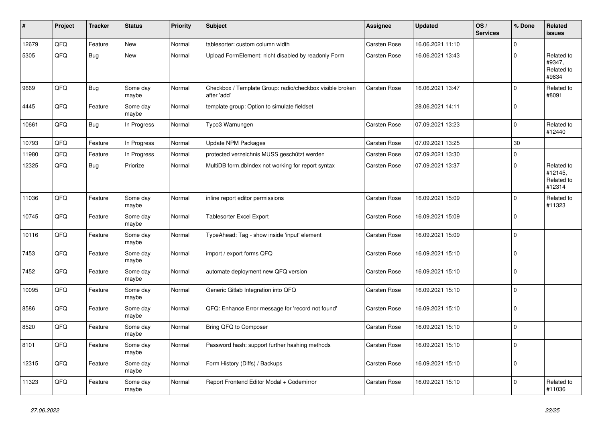| #     | Project | <b>Tracker</b> | <b>Status</b>     | <b>Priority</b> | <b>Subject</b>                                                          | Assignee            | <b>Updated</b>   | OS/<br><b>Services</b> | % Done      | Related<br><b>issues</b>                      |
|-------|---------|----------------|-------------------|-----------------|-------------------------------------------------------------------------|---------------------|------------------|------------------------|-------------|-----------------------------------------------|
| 12679 | QFQ     | Feature        | New               | Normal          | tablesorter: custom column width                                        | <b>Carsten Rose</b> | 16.06.2021 11:10 |                        | $\Omega$    |                                               |
| 5305  | QFQ     | Bug            | New               | Normal          | Upload FormElement: nicht disabled by readonly Form                     | Carsten Rose        | 16.06.2021 13:43 |                        | $\Omega$    | Related to<br>#9347,<br>Related to<br>#9834   |
| 9669  | QFQ     | <b>Bug</b>     | Some day<br>maybe | Normal          | Checkbox / Template Group: radio/checkbox visible broken<br>after 'add' | <b>Carsten Rose</b> | 16.06.2021 13:47 |                        | 0           | Related to<br>#8091                           |
| 4445  | QFQ     | Feature        | Some day<br>maybe | Normal          | template group: Option to simulate fieldset                             |                     | 28.06.2021 14:11 |                        | $\Omega$    |                                               |
| 10661 | QFQ     | Bug            | In Progress       | Normal          | Typo3 Warnungen                                                         | <b>Carsten Rose</b> | 07.09.2021 13:23 |                        | $\Omega$    | Related to<br>#12440                          |
| 10793 | QFQ     | Feature        | In Progress       | Normal          | <b>Update NPM Packages</b>                                              | <b>Carsten Rose</b> | 07.09.2021 13:25 |                        | 30          |                                               |
| 11980 | QFQ     | Feature        | In Progress       | Normal          | protected verzeichnis MUSS geschützt werden                             | <b>Carsten Rose</b> | 07.09.2021 13:30 |                        | $\Omega$    |                                               |
| 12325 | QFQ     | <b>Bug</b>     | Priorize          | Normal          | MultiDB form.dblndex not working for report syntax                      | Carsten Rose        | 07.09.2021 13:37 |                        | $\Omega$    | Related to<br>#12145,<br>Related to<br>#12314 |
| 11036 | QFQ     | Feature        | Some day<br>maybe | Normal          | inline report editor permissions                                        | <b>Carsten Rose</b> | 16.09.2021 15:09 |                        | $\mathbf 0$ | Related to<br>#11323                          |
| 10745 | QFQ     | Feature        | Some day<br>maybe | Normal          | Tablesorter Excel Export                                                | <b>Carsten Rose</b> | 16.09.2021 15:09 |                        | $\Omega$    |                                               |
| 10116 | QFQ     | Feature        | Some day<br>maybe | Normal          | TypeAhead: Tag - show inside 'input' element                            | Carsten Rose        | 16.09.2021 15:09 |                        | $\Omega$    |                                               |
| 7453  | QFQ     | Feature        | Some day<br>maybe | Normal          | import / export forms QFQ                                               | <b>Carsten Rose</b> | 16.09.2021 15:10 |                        | $\Omega$    |                                               |
| 7452  | QFQ     | Feature        | Some day<br>maybe | Normal          | automate deployment new QFQ version                                     | <b>Carsten Rose</b> | 16.09.2021 15:10 |                        | $\Omega$    |                                               |
| 10095 | QFQ     | Feature        | Some day<br>maybe | Normal          | Generic Gitlab Integration into QFQ                                     | <b>Carsten Rose</b> | 16.09.2021 15:10 |                        | $\Omega$    |                                               |
| 8586  | QFQ     | Feature        | Some day<br>maybe | Normal          | QFQ: Enhance Error message for 'record not found'                       | Carsten Rose        | 16.09.2021 15:10 |                        | $\mathbf 0$ |                                               |
| 8520  | QFQ     | Feature        | Some day<br>maybe | Normal          | Bring QFQ to Composer                                                   | <b>Carsten Rose</b> | 16.09.2021 15:10 |                        | $\Omega$    |                                               |
| 8101  | QFQ     | Feature        | Some day<br>maybe | Normal          | Password hash: support further hashing methods                          | Carsten Rose        | 16.09.2021 15:10 |                        | $\Omega$    |                                               |
| 12315 | QFQ     | Feature        | Some day<br>maybe | Normal          | Form History (Diffs) / Backups                                          | <b>Carsten Rose</b> | 16.09.2021 15:10 |                        | $\Omega$    |                                               |
| 11323 | QFQ     | Feature        | Some day<br>maybe | Normal          | Report Frontend Editor Modal + Codemirror                               | <b>Carsten Rose</b> | 16.09.2021 15:10 |                        | $\Omega$    | Related to<br>#11036                          |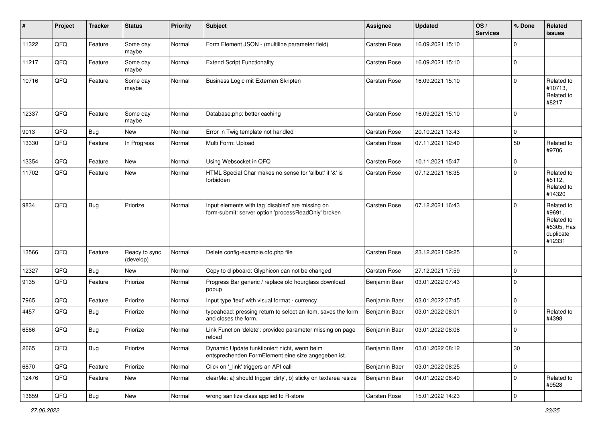| #     | Project | <b>Tracker</b> | <b>Status</b>              | <b>Priority</b> | <b>Subject</b>                                                                                           | <b>Assignee</b>     | <b>Updated</b>   | OS/<br><b>Services</b> | % Done      | Related<br>issues                                                       |
|-------|---------|----------------|----------------------------|-----------------|----------------------------------------------------------------------------------------------------------|---------------------|------------------|------------------------|-------------|-------------------------------------------------------------------------|
| 11322 | QFQ     | Feature        | Some day<br>maybe          | Normal          | Form Element JSON - (multiline parameter field)                                                          | <b>Carsten Rose</b> | 16.09.2021 15:10 |                        | $\Omega$    |                                                                         |
| 11217 | QFQ     | Feature        | Some day<br>maybe          | Normal          | <b>Extend Script Functionality</b>                                                                       | <b>Carsten Rose</b> | 16.09.2021 15:10 |                        | 0           |                                                                         |
| 10716 | QFQ     | Feature        | Some day<br>maybe          | Normal          | Business Logic mit Externen Skripten                                                                     | <b>Carsten Rose</b> | 16.09.2021 15:10 |                        | $\Omega$    | Related to<br>#10713,<br>Related to<br>#8217                            |
| 12337 | QFQ     | Feature        | Some day<br>maybe          | Normal          | Database.php: better caching                                                                             | <b>Carsten Rose</b> | 16.09.2021 15:10 |                        | 0           |                                                                         |
| 9013  | QFQ     | <b>Bug</b>     | New                        | Normal          | Error in Twig template not handled                                                                       | <b>Carsten Rose</b> | 20.10.2021 13:43 |                        | $\mathbf 0$ |                                                                         |
| 13330 | QFQ     | Feature        | In Progress                | Normal          | Multi Form: Upload                                                                                       | Carsten Rose        | 07.11.2021 12:40 |                        | 50          | Related to<br>#9706                                                     |
| 13354 | QFQ     | Feature        | New                        | Normal          | Using Websocket in QFQ                                                                                   | <b>Carsten Rose</b> | 10.11.2021 15:47 |                        | $\mathbf 0$ |                                                                         |
| 11702 | QFQ     | Feature        | New                        | Normal          | HTML Special Char makes no sense for 'allbut' if '&' is<br>forbidden                                     | <b>Carsten Rose</b> | 07.12.2021 16:35 |                        | $\Omega$    | Related to<br>#5112,<br>Related to<br>#14320                            |
| 9834  | QFQ     | <b>Bug</b>     | Priorize                   | Normal          | Input elements with tag 'disabled' are missing on<br>form-submit: server option 'processReadOnly' broken | <b>Carsten Rose</b> | 07.12.2021 16:43 |                        | $\Omega$    | Related to<br>#9691,<br>Related to<br>#5305, Has<br>duplicate<br>#12331 |
| 13566 | QFQ     | Feature        | Ready to sync<br>(develop) | Normal          | Delete config-example.qfq.php file                                                                       | Carsten Rose        | 23.12.2021 09:25 |                        | $\Omega$    |                                                                         |
| 12327 | QFQ     | Bug            | New                        | Normal          | Copy to clipboard: Glyphicon can not be changed                                                          | Carsten Rose        | 27.12.2021 17:59 |                        | $\mathbf 0$ |                                                                         |
| 9135  | QFQ     | Feature        | Priorize                   | Normal          | Progress Bar generic / replace old hourglass download<br>popup                                           | Benjamin Baer       | 03.01.2022 07:43 |                        | $\Omega$    |                                                                         |
| 7965  | QFQ     | Feature        | Priorize                   | Normal          | Input type 'text' with visual format - currency                                                          | Benjamin Baer       | 03.01.2022 07:45 |                        | $\mathbf 0$ |                                                                         |
| 4457  | QFQ     | Bug            | Priorize                   | Normal          | typeahead: pressing return to select an item, saves the form<br>and closes the form.                     | Benjamin Baer       | 03.01.2022 08:01 |                        | $\Omega$    | Related to<br>#4398                                                     |
| 6566  | QFQ     | <b>Bug</b>     | Priorize                   | Normal          | Link Function 'delete': provided parameter missing on page<br>reload                                     | Benjamin Baer       | 03.01.2022 08:08 |                        | $\Omega$    |                                                                         |
| 2665  | QFG     | <b>Bug</b>     | Priorize                   | Normal          | Dynamic Update funktioniert nicht, wenn beim<br>entsprechenden FormElement eine size angegeben ist.      | Benjamin Baer       | 03.01.2022 08:12 |                        | 30          |                                                                         |
| 6870  | QFG     | Feature        | Priorize                   | Normal          | Click on '_link' triggers an API call                                                                    | Benjamin Baer       | 03.01.2022 08:25 |                        | 0           |                                                                         |
| 12476 | QFQ     | Feature        | New                        | Normal          | clearMe: a) should trigger 'dirty', b) sticky on textarea resize                                         | Benjamin Baer       | 04.01.2022 08:40 |                        | $\mathbf 0$ | Related to<br>#9528                                                     |
| 13659 | QFG     | <b>Bug</b>     | New                        | Normal          | wrong sanitize class applied to R-store                                                                  | Carsten Rose        | 15.01.2022 14:23 |                        | 0           |                                                                         |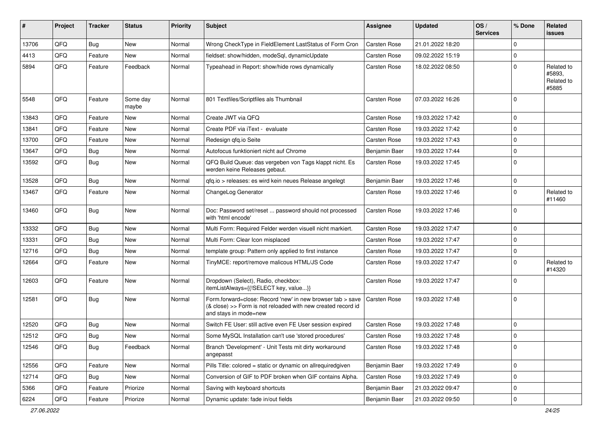| ∦     | Project | <b>Tracker</b> | <b>Status</b>     | <b>Priority</b> | <b>Subject</b>                                                                                                                                      | <b>Assignee</b>     | <b>Updated</b>   | OS/<br><b>Services</b> | % Done      | Related<br>issues                           |
|-------|---------|----------------|-------------------|-----------------|-----------------------------------------------------------------------------------------------------------------------------------------------------|---------------------|------------------|------------------------|-------------|---------------------------------------------|
| 13706 | QFQ     | Bug            | New               | Normal          | Wrong CheckType in FieldElement LastStatus of Form Cron                                                                                             | <b>Carsten Rose</b> | 21.01.2022 18:20 |                        | 0           |                                             |
| 4413  | QFQ     | Feature        | <b>New</b>        | Normal          | fieldset: show/hidden, modeSql, dynamicUpdate                                                                                                       | <b>Carsten Rose</b> | 09.02.2022 15:19 |                        | $\mathbf 0$ |                                             |
| 5894  | QFQ     | Feature        | Feedback          | Normal          | Typeahead in Report: show/hide rows dynamically                                                                                                     | Carsten Rose        | 18.02.2022 08:50 |                        | $\mathbf 0$ | Related to<br>#5893,<br>Related to<br>#5885 |
| 5548  | QFQ     | Feature        | Some day<br>maybe | Normal          | 801 Textfiles/Scriptfiles als Thumbnail                                                                                                             | <b>Carsten Rose</b> | 07.03.2022 16:26 |                        | $\mathbf 0$ |                                             |
| 13843 | QFQ     | Feature        | <b>New</b>        | Normal          | Create JWT via QFQ                                                                                                                                  | Carsten Rose        | 19.03.2022 17:42 |                        | $\mathbf 0$ |                                             |
| 13841 | QFQ     | Feature        | <b>New</b>        | Normal          | Create PDF via iText - evaluate                                                                                                                     | Carsten Rose        | 19.03.2022 17:42 |                        | $\mathbf 0$ |                                             |
| 13700 | QFQ     | Feature        | New               | Normal          | Redesign qfq.io Seite                                                                                                                               | Carsten Rose        | 19.03.2022 17:43 |                        | $\mathbf 0$ |                                             |
| 13647 | QFQ     | Bug            | <b>New</b>        | Normal          | Autofocus funktioniert nicht auf Chrome                                                                                                             | Benjamin Baer       | 19.03.2022 17:44 |                        | $\mathbf 0$ |                                             |
| 13592 | QFQ     | <b>Bug</b>     | <b>New</b>        | Normal          | QFQ Build Queue: das vergeben von Tags klappt nicht. Es<br>werden keine Releases gebaut.                                                            | <b>Carsten Rose</b> | 19.03.2022 17:45 |                        | $\Omega$    |                                             |
| 13528 | QFQ     | <b>Bug</b>     | <b>New</b>        | Normal          | qfq.io > releases: es wird kein neues Release angelegt                                                                                              | Benjamin Baer       | 19.03.2022 17:46 |                        | $\mathbf 0$ |                                             |
| 13467 | QFQ     | Feature        | <b>New</b>        | Normal          | ChangeLog Generator                                                                                                                                 | Carsten Rose        | 19.03.2022 17:46 |                        | 0           | Related to<br>#11460                        |
| 13460 | QFQ     | <b>Bug</b>     | New               | Normal          | Doc: Password set/reset  password should not processed<br>with 'html encode'                                                                        | Carsten Rose        | 19.03.2022 17:46 |                        | $\Omega$    |                                             |
| 13332 | QFQ     | <b>Bug</b>     | <b>New</b>        | Normal          | Multi Form: Required Felder werden visuell nicht markiert.                                                                                          | <b>Carsten Rose</b> | 19.03.2022 17:47 |                        | $\mathbf 0$ |                                             |
| 13331 | QFQ     | <b>Bug</b>     | <b>New</b>        | Normal          | Multi Form: Clear Icon misplaced                                                                                                                    | <b>Carsten Rose</b> | 19.03.2022 17:47 |                        | $\mathbf 0$ |                                             |
| 12716 | QFQ     | Bug            | <b>New</b>        | Normal          | template group: Pattern only applied to first instance                                                                                              | Carsten Rose        | 19.03.2022 17:47 |                        | $\mathbf 0$ |                                             |
| 12664 | QFQ     | Feature        | <b>New</b>        | Normal          | TinyMCE: report/remove malicous HTML/JS Code                                                                                                        | Carsten Rose        | 19.03.2022 17:47 |                        | $\mathbf 0$ | Related to<br>#14320                        |
| 12603 | QFQ     | Feature        | New               | Normal          | Dropdown (Select), Radio, checkbox:<br>itemListAlways={{!SELECT key, value}}                                                                        | Carsten Rose        | 19.03.2022 17:47 |                        | $\mathbf 0$ |                                             |
| 12581 | QFQ     | <b>Bug</b>     | New               | Normal          | Form.forward=close: Record 'new' in new browser tab > save<br>(& close) >> Form is not reloaded with new created record id<br>and stays in mode=new | Carsten Rose        | 19.03.2022 17:48 |                        | $\mathbf 0$ |                                             |
| 12520 | QFQ     | Bug            | <b>New</b>        | Normal          | Switch FE User: still active even FE User session expired                                                                                           | <b>Carsten Rose</b> | 19.03.2022 17:48 |                        | $\mathbf 0$ |                                             |
| 12512 | QFQ     | <b>Bug</b>     | New               | Normal          | Some MySQL Installation can't use 'stored procedures'                                                                                               | Carsten Rose        | 19.03.2022 17:48 |                        | $\mathbf 0$ |                                             |
| 12546 | QFQ     | <b>Bug</b>     | Feedback          | Normal          | Branch 'Development' - Unit Tests mit dirty workaround<br>angepasst                                                                                 | Carsten Rose        | 19.03.2022 17:48 |                        | $\mathbf 0$ |                                             |
| 12556 | QFQ     | Feature        | New               | Normal          | Pills Title: colored = static or dynamic on allrequiredgiven                                                                                        | Benjamin Baer       | 19.03.2022 17:49 |                        | 0           |                                             |
| 12714 | QFQ     | <b>Bug</b>     | New               | Normal          | Conversion of GIF to PDF broken when GIF contains Alpha.                                                                                            | Carsten Rose        | 19.03.2022 17:49 |                        | 0           |                                             |
| 5366  | QFQ     | Feature        | Priorize          | Normal          | Saving with keyboard shortcuts                                                                                                                      | Benjamin Baer       | 21.03.2022 09:47 |                        | 0           |                                             |
| 6224  | QFQ     | Feature        | Priorize          | Normal          | Dynamic update: fade in/out fields                                                                                                                  | Benjamin Baer       | 21.03.2022 09:50 |                        | 0           |                                             |